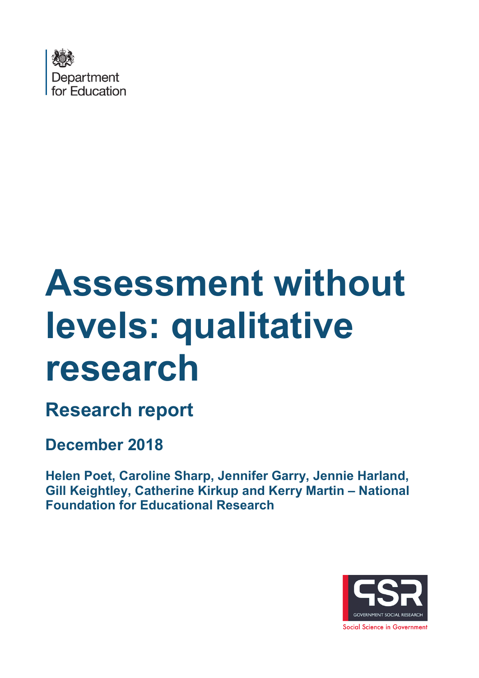

# **Assessment without levels: qualitative research**

**Research report** 

**December 2018**

**Helen Poet, Caroline Sharp, Jennifer Garry, Jennie Harland, Gill Keightley, Catherine Kirkup and Kerry Martin – National Foundation for Educational Research**

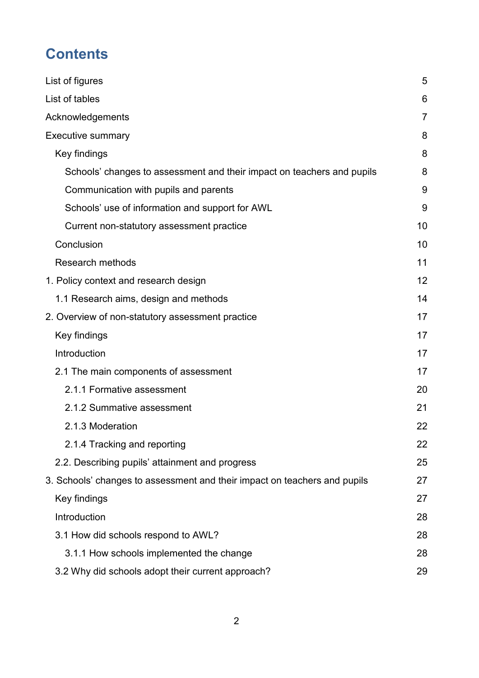# **Contents**

| List of figures                                                           | 5  |
|---------------------------------------------------------------------------|----|
| List of tables                                                            | 6  |
| Acknowledgements                                                          | 7  |
| <b>Executive summary</b>                                                  | 8  |
| Key findings                                                              | 8  |
| Schools' changes to assessment and their impact on teachers and pupils    | 8  |
| Communication with pupils and parents                                     | 9  |
| Schools' use of information and support for AWL                           | 9  |
| Current non-statutory assessment practice                                 | 10 |
| Conclusion                                                                | 10 |
| <b>Research methods</b>                                                   | 11 |
| 1. Policy context and research design                                     | 12 |
| 1.1 Research aims, design and methods                                     | 14 |
| 2. Overview of non-statutory assessment practice                          | 17 |
| Key findings                                                              | 17 |
| Introduction                                                              | 17 |
| 2.1 The main components of assessment                                     | 17 |
| 2.1.1 Formative assessment                                                | 20 |
| 2.1.2 Summative assessment                                                | 21 |
| 2.1.3 Moderation                                                          | 22 |
| 2.1.4 Tracking and reporting                                              | 22 |
| 2.2. Describing pupils' attainment and progress                           | 25 |
| 3. Schools' changes to assessment and their impact on teachers and pupils | 27 |
| Key findings                                                              | 27 |
| Introduction                                                              | 28 |
| 3.1 How did schools respond to AWL?                                       | 28 |
| 3.1.1 How schools implemented the change                                  | 28 |
| 3.2 Why did schools adopt their current approach?                         | 29 |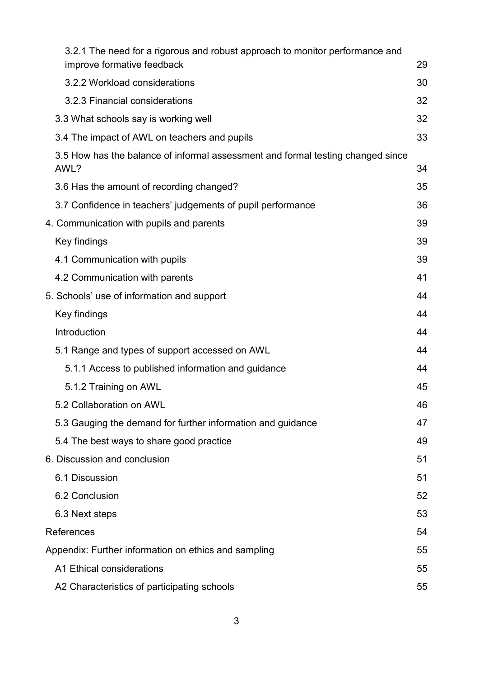| 3.2.1 The need for a rigorous and robust approach to monitor performance and            |    |
|-----------------------------------------------------------------------------------------|----|
| improve formative feedback                                                              | 29 |
| 3.2.2 Workload considerations                                                           | 30 |
| 3.2.3 Financial considerations                                                          | 32 |
| 3.3 What schools say is working well                                                    | 32 |
| 3.4 The impact of AWL on teachers and pupils                                            | 33 |
| 3.5 How has the balance of informal assessment and formal testing changed since<br>AWL? | 34 |
| 3.6 Has the amount of recording changed?                                                | 35 |
| 3.7 Confidence in teachers' judgements of pupil performance                             | 36 |
| 4. Communication with pupils and parents                                                | 39 |
| Key findings                                                                            | 39 |
| 4.1 Communication with pupils                                                           | 39 |
| 4.2 Communication with parents                                                          | 41 |
| 5. Schools' use of information and support                                              | 44 |
| Key findings                                                                            | 44 |
| Introduction                                                                            | 44 |
| 5.1 Range and types of support accessed on AWL                                          | 44 |
| 5.1.1 Access to published information and guidance                                      | 44 |
| 5.1.2 Training on AWL                                                                   | 45 |
| 5.2 Collaboration on AWL                                                                | 46 |
| 5.3 Gauging the demand for further information and guidance                             | 47 |
| 5.4 The best ways to share good practice                                                | 49 |
| 6. Discussion and conclusion                                                            | 51 |
| 6.1 Discussion                                                                          | 51 |
| 6.2 Conclusion                                                                          | 52 |
| 6.3 Next steps                                                                          | 53 |
| References                                                                              | 54 |
| Appendix: Further information on ethics and sampling                                    | 55 |
| A1 Ethical considerations                                                               | 55 |
| A2 Characteristics of participating schools                                             | 55 |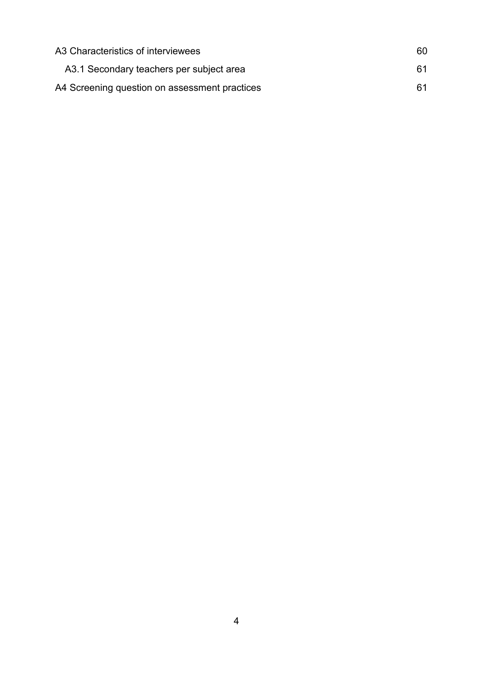| A3 Characteristics of interviewees            | 60 |
|-----------------------------------------------|----|
| A3.1 Secondary teachers per subject area      | 61 |
| A4 Screening question on assessment practices | 61 |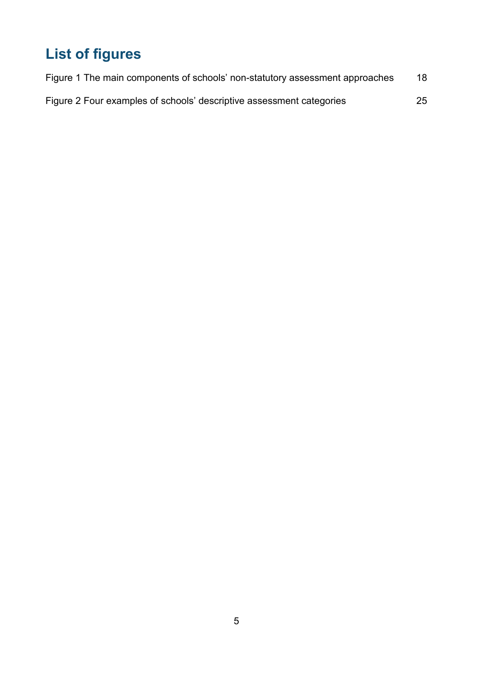# <span id="page-4-0"></span>**List of figures**

| Figure 1 The main components of schools' non-statutory assessment approaches | 18 |
|------------------------------------------------------------------------------|----|
| Figure 2 Four examples of schools' descriptive assessment categories         | 25 |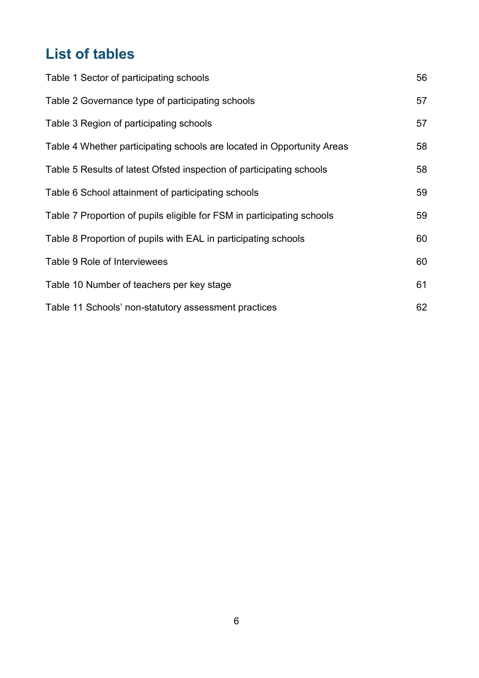# <span id="page-5-0"></span>**List of tables**

| Table 1 Sector of participating schools                                | 56 |
|------------------------------------------------------------------------|----|
| Table 2 Governance type of participating schools                       | 57 |
| Table 3 Region of participating schools                                | 57 |
| Table 4 Whether participating schools are located in Opportunity Areas | 58 |
| Table 5 Results of latest Ofsted inspection of participating schools   | 58 |
| Table 6 School attainment of participating schools                     | 59 |
| Table 7 Proportion of pupils eligible for FSM in participating schools | 59 |
| Table 8 Proportion of pupils with EAL in participating schools         | 60 |
| Table 9 Role of Interviewees                                           | 60 |
| Table 10 Number of teachers per key stage                              | 61 |
| Table 11 Schools' non-statutory assessment practices                   | 62 |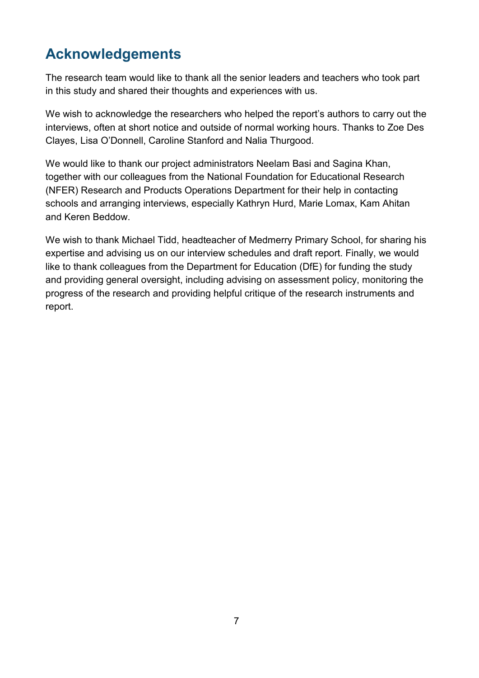# <span id="page-6-0"></span>**Acknowledgements**

The research team would like to thank all the senior leaders and teachers who took part in this study and shared their thoughts and experiences with us.

We wish to acknowledge the researchers who helped the report's authors to carry out the interviews, often at short notice and outside of normal working hours. Thanks to Zoe Des Clayes, Lisa O'Donnell, Caroline Stanford and Nalia Thurgood.

We would like to thank our project administrators Neelam Basi and Sagina Khan, together with our colleagues from the National Foundation for Educational Research (NFER) Research and Products Operations Department for their help in contacting schools and arranging interviews, especially Kathryn Hurd, Marie Lomax, Kam Ahitan and Keren Beddow.

We wish to thank Michael Tidd, headteacher of Medmerry Primary School, for sharing his expertise and advising us on our interview schedules and draft report. Finally, we would like to thank colleagues from the Department for Education (DfE) for funding the study and providing general oversight, including advising on assessment policy, monitoring the progress of the research and providing helpful critique of the research instruments and report.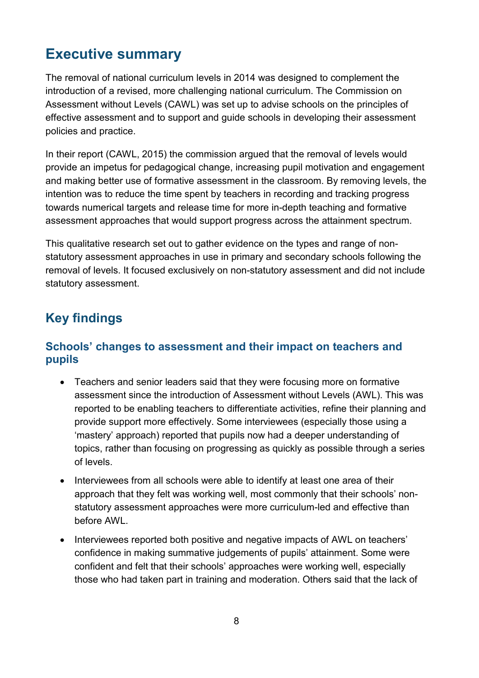# <span id="page-7-0"></span>**Executive summary**

The removal of national curriculum levels in 2014 was designed to complement the introduction of a revised, more challenging national curriculum. The Commission on Assessment without Levels (CAWL) was set up to advise schools on the principles of effective assessment and to support and guide schools in developing their assessment policies and practice.

In their report (CAWL, 2015) the commission argued that the removal of levels would provide an impetus for pedagogical change, increasing pupil motivation and engagement and making better use of formative assessment in the classroom. By removing levels, the intention was to reduce the time spent by teachers in recording and tracking progress towards numerical targets and release time for more in-depth teaching and formative assessment approaches that would support progress across the attainment spectrum.

This qualitative research set out to gather evidence on the types and range of nonstatutory assessment approaches in use in primary and secondary schools following the removal of levels. It focused exclusively on non-statutory assessment and did not include statutory assessment.

## <span id="page-7-1"></span>**Key findings**

#### <span id="page-7-2"></span>**Schools' changes to assessment and their impact on teachers and pupils**

- Teachers and senior leaders said that they were focusing more on formative assessment since the introduction of Assessment without Levels (AWL). This was reported to be enabling teachers to differentiate activities, refine their planning and provide support more effectively. Some interviewees (especially those using a 'mastery' approach) reported that pupils now had a deeper understanding of topics, rather than focusing on progressing as quickly as possible through a series of levels.
- Interviewees from all schools were able to identify at least one area of their approach that they felt was working well, most commonly that their schools' nonstatutory assessment approaches were more curriculum-led and effective than before AWL.
- Interviewees reported both positive and negative impacts of AWL on teachers' confidence in making summative judgements of pupils' attainment. Some were confident and felt that their schools' approaches were working well, especially those who had taken part in training and moderation. Others said that the lack of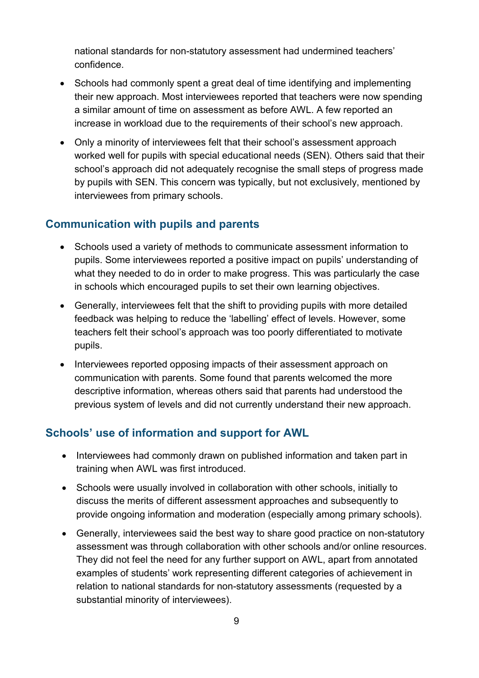national standards for non-statutory assessment had undermined teachers' confidence.

- Schools had commonly spent a great deal of time identifying and implementing their new approach. Most interviewees reported that teachers were now spending a similar amount of time on assessment as before AWL. A few reported an increase in workload due to the requirements of their school's new approach.
- Only a minority of interviewees felt that their school's assessment approach worked well for pupils with special educational needs (SEN). Others said that their school's approach did not adequately recognise the small steps of progress made by pupils with SEN. This concern was typically, but not exclusively, mentioned by interviewees from primary schools.

#### <span id="page-8-0"></span>**Communication with pupils and parents**

- Schools used a variety of methods to communicate assessment information to pupils. Some interviewees reported a positive impact on pupils' understanding of what they needed to do in order to make progress. This was particularly the case in schools which encouraged pupils to set their own learning objectives.
- Generally, interviewees felt that the shift to providing pupils with more detailed feedback was helping to reduce the 'labelling' effect of levels. However, some teachers felt their school's approach was too poorly differentiated to motivate pupils.
- Interviewees reported opposing impacts of their assessment approach on communication with parents. Some found that parents welcomed the more descriptive information, whereas others said that parents had understood the previous system of levels and did not currently understand their new approach.

#### <span id="page-8-1"></span>**Schools' use of information and support for AWL**

- Interviewees had commonly drawn on published information and taken part in training when AWL was first introduced.
- Schools were usually involved in collaboration with other schools, initially to discuss the merits of different assessment approaches and subsequently to provide ongoing information and moderation (especially among primary schools).
- Generally, interviewees said the best way to share good practice on non-statutory assessment was through collaboration with other schools and/or online resources. They did not feel the need for any further support on AWL, apart from annotated examples of students' work representing different categories of achievement in relation to national standards for non-statutory assessments (requested by a substantial minority of interviewees).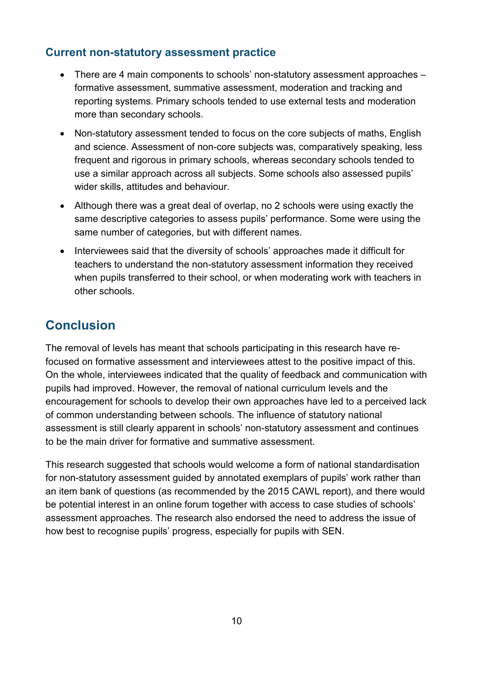#### <span id="page-9-0"></span>**Current non-statutory assessment practice**

- There are 4 main components to schools' non-statutory assessment approaches formative assessment, summative assessment, moderation and tracking and reporting systems. Primary schools tended to use external tests and moderation more than secondary schools.
- Non-statutory assessment tended to focus on the core subjects of maths, English and science. Assessment of non-core subjects was, comparatively speaking, less frequent and rigorous in primary schools, whereas secondary schools tended to use a similar approach across all subjects. Some schools also assessed pupils' wider skills, attitudes and behaviour.
- Although there was a great deal of overlap, no 2 schools were using exactly the same descriptive categories to assess pupils' performance. Some were using the same number of categories, but with different names.
- Interviewees said that the diversity of schools' approaches made it difficult for teachers to understand the non-statutory assessment information they received when pupils transferred to their school, or when moderating work with teachers in other schools.

# <span id="page-9-1"></span>**Conclusion**

The removal of levels has meant that schools participating in this research have refocused on formative assessment and interviewees attest to the positive impact of this. On the whole, interviewees indicated that the quality of feedback and communication with pupils had improved. However, the removal of national curriculum levels and the encouragement for schools to develop their own approaches have led to a perceived lack of common understanding between schools. The influence of statutory national assessment is still clearly apparent in schools' non-statutory assessment and continues to be the main driver for formative and summative assessment.

This research suggested that schools would welcome a form of national standardisation for non-statutory assessment guided by annotated exemplars of pupils' work rather than an item bank of questions (as recommended by the 2015 CAWL report), and there would be potential interest in an online forum together with access to case studies of schools' assessment approaches. The research also endorsed the need to address the issue of how best to recognise pupils' progress, especially for pupils with SEN.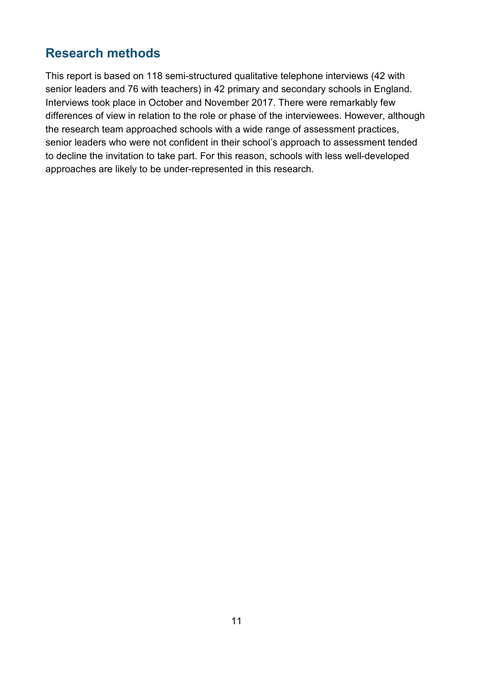## <span id="page-10-0"></span>**Research methods**

This report is based on 118 semi-structured qualitative telephone interviews (42 with senior leaders and 76 with teachers) in 42 primary and secondary schools in England. Interviews took place in October and November 2017. There were remarkably few differences of view in relation to the role or phase of the interviewees. However, although the research team approached schools with a wide range of assessment practices, senior leaders who were not confident in their school's approach to assessment tended to decline the invitation to take part. For this reason, schools with less well-developed approaches are likely to be under-represented in this research.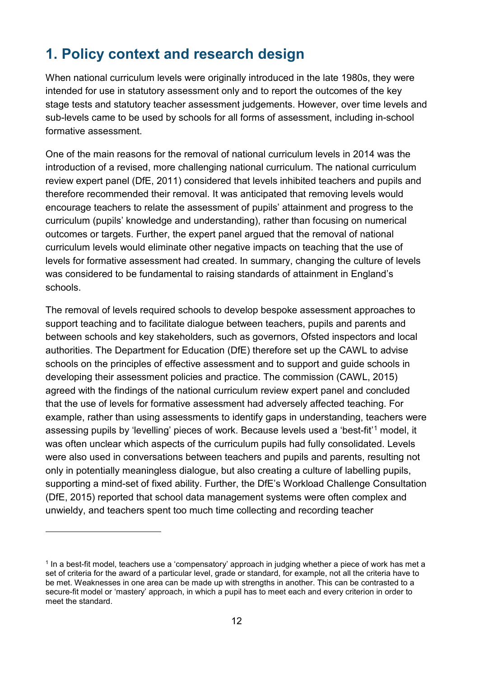# <span id="page-11-0"></span>**1. Policy context and research design**

When national curriculum levels were originally introduced in the late 1980s, they were intended for use in statutory assessment only and to report the outcomes of the key stage tests and statutory teacher assessment judgements. However, over time levels and sub-levels came to be used by schools for all forms of assessment, including in-school formative assessment.

One of the main reasons for the removal of national curriculum levels in 2014 was the introduction of a revised, more challenging national curriculum. The national curriculum review expert panel (DfE, 2011) considered that levels inhibited teachers and pupils and therefore recommended their removal. It was anticipated that removing levels would encourage teachers to relate the assessment of pupils' attainment and progress to the curriculum (pupils' knowledge and understanding), rather than focusing on numerical outcomes or targets. Further, the expert panel argued that the removal of national curriculum levels would eliminate other negative impacts on teaching that the use of levels for formative assessment had created. In summary, changing the culture of levels was considered to be fundamental to raising standards of attainment in England's schools.

The removal of levels required schools to develop bespoke assessment approaches to support teaching and to facilitate dialogue between teachers, pupils and parents and between schools and key stakeholders, such as governors, Ofsted inspectors and local authorities. The Department for Education (DfE) therefore set up the CAWL to advise schools on the principles of effective assessment and to support and guide schools in developing their assessment policies and practice. The commission (CAWL, 2015) agreed with the findings of the national curriculum review expert panel and concluded that the use of levels for formative assessment had adversely affected teaching. For example, rather than using assessments to identify gaps in understanding, teachers were assessing pupils by 'levelling' pieces of work. Because levels used a 'best-fit'[1](#page-11-1) model, it was often unclear which aspects of the curriculum pupils had fully consolidated. Levels were also used in conversations between teachers and pupils and parents, resulting not only in potentially meaningless dialogue, but also creating a culture of labelling pupils, supporting a mind-set of fixed ability. Further, the DfE's Workload Challenge Consultation (DfE, 2015) reported that school data management systems were often complex and unwieldy, and teachers spent too much time collecting and recording teacher

-

<span id="page-11-1"></span><sup>&</sup>lt;sup>1</sup> In a best-fit model, teachers use a 'compensatory' approach in judging whether a piece of work has met a set of criteria for the award of a particular level, grade or standard, for example, not all the criteria have to be met. Weaknesses in one area can be made up with strengths in another. This can be contrasted to a secure-fit model or 'mastery' approach, in which a pupil has to meet each and every criterion in order to meet the standard.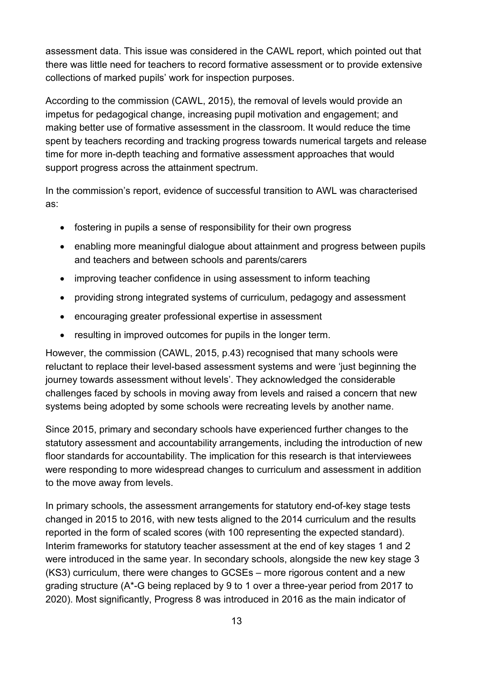assessment data. This issue was considered in the CAWL report, which pointed out that there was little need for teachers to record formative assessment or to provide extensive collections of marked pupils' work for inspection purposes.

According to the commission (CAWL, 2015), the removal of levels would provide an impetus for pedagogical change, increasing pupil motivation and engagement; and making better use of formative assessment in the classroom. It would reduce the time spent by teachers recording and tracking progress towards numerical targets and release time for more in-depth teaching and formative assessment approaches that would support progress across the attainment spectrum.

In the commission's report, evidence of successful transition to AWL was characterised as:

- fostering in pupils a sense of responsibility for their own progress
- enabling more meaningful dialogue about attainment and progress between pupils and teachers and between schools and parents/carers
- improving teacher confidence in using assessment to inform teaching
- providing strong integrated systems of curriculum, pedagogy and assessment
- encouraging greater professional expertise in assessment
- resulting in improved outcomes for pupils in the longer term.

However, the commission (CAWL, 2015, p.43) recognised that many schools were reluctant to replace their level-based assessment systems and were 'just beginning the journey towards assessment without levels'. They acknowledged the considerable challenges faced by schools in moving away from levels and raised a concern that new systems being adopted by some schools were recreating levels by another name.

Since 2015, primary and secondary schools have experienced further changes to the statutory assessment and accountability arrangements, including the introduction of new floor standards for accountability. The implication for this research is that interviewees were responding to more widespread changes to curriculum and assessment in addition to the move away from levels.

In primary schools, the assessment arrangements for statutory end-of-key stage tests changed in 2015 to 2016, with new tests aligned to the 2014 curriculum and the results reported in the form of scaled scores (with 100 representing the expected standard). Interim frameworks for statutory teacher assessment at the end of key stages 1 and 2 were introduced in the same year. In secondary schools, alongside the new key stage 3 (KS3) curriculum, there were changes to GCSEs – more rigorous content and a new grading structure (A\*-G being replaced by 9 to 1 over a three-year period from 2017 to 2020). Most significantly, Progress 8 was introduced in 2016 as the main indicator of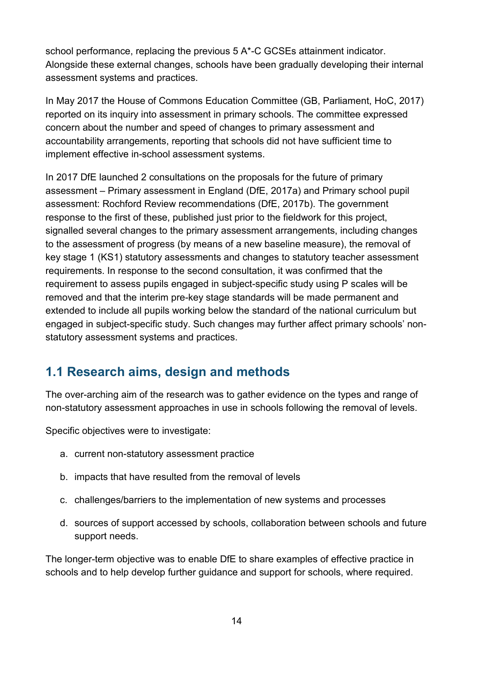school performance, replacing the previous 5 A\*-C GCSEs attainment indicator. Alongside these external changes, schools have been gradually developing their internal assessment systems and practices.

In May 2017 the House of Commons Education Committee (GB, Parliament, HoC, 2017) reported on its inquiry into assessment in primary schools. The committee expressed concern about the number and speed of changes to primary assessment and accountability arrangements, reporting that schools did not have sufficient time to implement effective in-school assessment systems.

In 2017 DfE launched 2 consultations on the proposals for the future of primary assessment – Primary assessment in England (DfE, 2017a) and Primary school pupil assessment: Rochford Review recommendations (DfE, 2017b). The government response to the first of these, published just prior to the fieldwork for this project, signalled several changes to the primary assessment arrangements, including changes to the assessment of progress (by means of a new baseline measure), the removal of key stage 1 (KS1) statutory assessments and changes to statutory teacher assessment requirements. In response to the second consultation, it was confirmed that the requirement to assess pupils engaged in subject-specific study using P scales will be removed and that the interim pre-key stage standards will be made permanent and extended to include all pupils working below the standard of the national curriculum but engaged in subject-specific study. Such changes may further affect primary schools' nonstatutory assessment systems and practices.

## <span id="page-13-0"></span>**1.1 Research aims, design and methods**

The over-arching aim of the research was to gather evidence on the types and range of non-statutory assessment approaches in use in schools following the removal of levels.

Specific objectives were to investigate:

- a. current non-statutory assessment practice
- b. impacts that have resulted from the removal of levels
- c. challenges/barriers to the implementation of new systems and processes
- d. sources of support accessed by schools, collaboration between schools and future support needs.

The longer-term objective was to enable DfE to share examples of effective practice in schools and to help develop further guidance and support for schools, where required.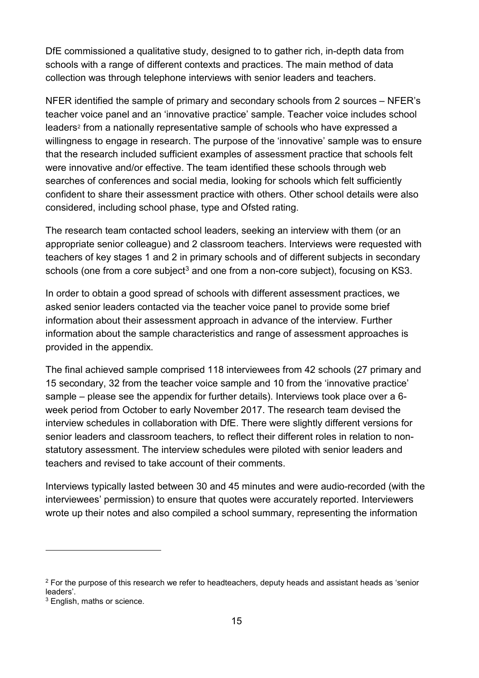DfE commissioned a qualitative study, designed to to gather rich, in-depth data from schools with a range of different contexts and practices. The main method of data collection was through telephone interviews with senior leaders and teachers.

NFER identified the sample of primary and secondary schools from 2 sources – NFER's teacher voice panel and an 'innovative practice' sample. Teacher voice includes school leaders<sup>2</sup> from a nationally representative sample of schools who have expressed a willingness to engage in research. The purpose of the 'innovative' sample was to ensure that the research included sufficient examples of assessment practice that schools felt were innovative and/or effective. The team identified these schools through web searches of conferences and social media, looking for schools which felt sufficiently confident to share their assessment practice with others. Other school details were also considered, including school phase, type and Ofsted rating.

The research team contacted school leaders, seeking an interview with them (or an appropriate senior colleague) and 2 classroom teachers. Interviews were requested with teachers of key stages 1 and 2 in primary schools and of different subjects in secondary schools (one from a core subject<sup>[3](#page-14-1)</sup> and one from a non-core subject), focusing on KS3.

In order to obtain a good spread of schools with different assessment practices, we asked senior leaders contacted via the teacher voice panel to provide some brief information about their assessment approach in advance of the interview. Further information about the sample characteristics and range of assessment approaches is provided in the appendix.

The final achieved sample comprised 118 interviewees from 42 schools (27 primary and 15 secondary, 32 from the teacher voice sample and 10 from the 'innovative practice' sample – please see the appendix for further details). Interviews took place over a 6 week period from October to early November 2017. The research team devised the interview schedules in collaboration with DfE. There were slightly different versions for senior leaders and classroom teachers, to reflect their different roles in relation to nonstatutory assessment. The interview schedules were piloted with senior leaders and teachers and revised to take account of their comments.

Interviews typically lasted between 30 and 45 minutes and were audio-recorded (with the interviewees' permission) to ensure that quotes were accurately reported. Interviewers wrote up their notes and also compiled a school summary, representing the information

<u>.</u>

<span id="page-14-0"></span><sup>&</sup>lt;sup>2</sup> For the purpose of this research we refer to headteachers, deputy heads and assistant heads as 'senior leaders'.

<span id="page-14-1"></span><sup>3</sup> English, maths or science.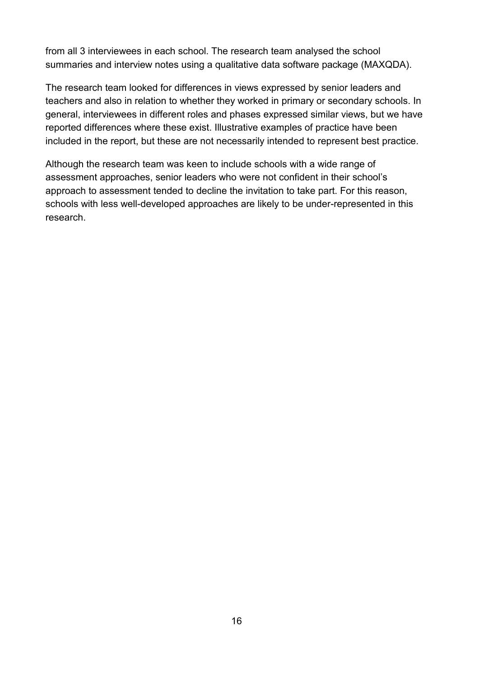from all 3 interviewees in each school. The research team analysed the school summaries and interview notes using a qualitative data software package (MAXQDA).

The research team looked for differences in views expressed by senior leaders and teachers and also in relation to whether they worked in primary or secondary schools. In general, interviewees in different roles and phases expressed similar views, but we have reported differences where these exist. Illustrative examples of practice have been included in the report, but these are not necessarily intended to represent best practice.

Although the research team was keen to include schools with a wide range of assessment approaches, senior leaders who were not confident in their school's approach to assessment tended to decline the invitation to take part. For this reason, schools with less well-developed approaches are likely to be under-represented in this research.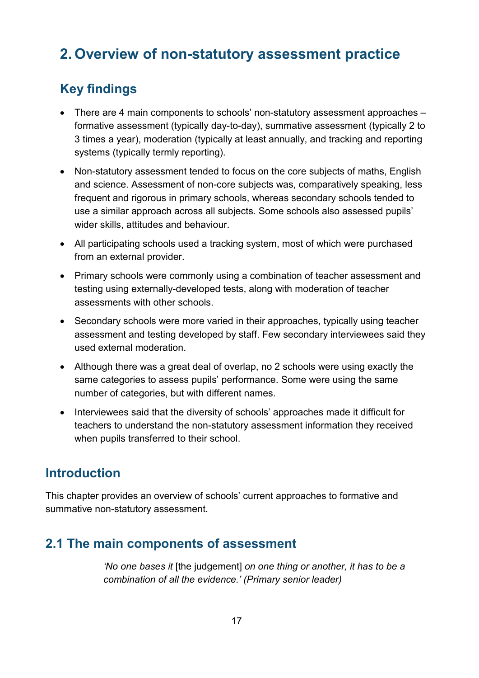# <span id="page-16-0"></span>**2. Overview of non-statutory assessment practice**

## <span id="page-16-1"></span>**Key findings**

- There are 4 main components to schools' non-statutory assessment approaches formative assessment (typically day-to-day), summative assessment (typically 2 to 3 times a year), moderation (typically at least annually, and tracking and reporting systems (typically termly reporting).
- Non-statutory assessment tended to focus on the core subjects of maths, English and science. Assessment of non-core subjects was, comparatively speaking, less frequent and rigorous in primary schools, whereas secondary schools tended to use a similar approach across all subjects. Some schools also assessed pupils' wider skills, attitudes and behaviour.
- All participating schools used a tracking system, most of which were purchased from an external provider.
- Primary schools were commonly using a combination of teacher assessment and testing using externally-developed tests, along with moderation of teacher assessments with other schools.
- Secondary schools were more varied in their approaches, typically using teacher assessment and testing developed by staff. Few secondary interviewees said they used external moderation.
- Although there was a great deal of overlap, no 2 schools were using exactly the same categories to assess pupils' performance. Some were using the same number of categories, but with different names.
- Interviewees said that the diversity of schools' approaches made it difficult for teachers to understand the non-statutory assessment information they received when pupils transferred to their school.

## <span id="page-16-2"></span>**Introduction**

This chapter provides an overview of schools' current approaches to formative and summative non-statutory assessment.

## <span id="page-16-3"></span>**2.1 The main components of assessment**

*'No one bases it* [the judgement] *on one thing or another, it has to be a combination of all the evidence.' (Primary senior leader)*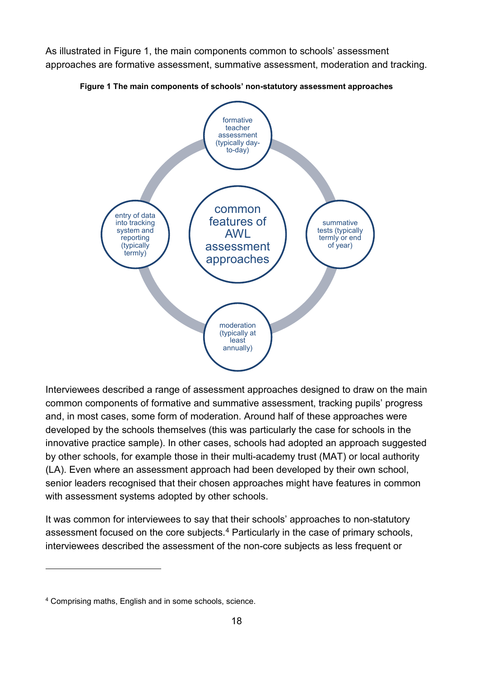As illustrated in Figure 1, the main components common to schools' assessment approaches are formative assessment, summative assessment, moderation and tracking.



<span id="page-17-0"></span>**Figure 1 The main components of schools' non-statutory assessment approaches**

Interviewees described a range of assessment approaches designed to draw on the main common components of formative and summative assessment, tracking pupils' progress and, in most cases, some form of moderation. Around half of these approaches were developed by the schools themselves (this was particularly the case for schools in the innovative practice sample). In other cases, schools had adopted an approach suggested by other schools, for example those in their multi-academy trust (MAT) or local authority (LA). Even where an assessment approach had been developed by their own school, senior leaders recognised that their chosen approaches might have features in common with assessment systems adopted by other schools.

It was common for interviewees to say that their schools' approaches to non-statutory assessment focused on the core subjects.<sup>[4](#page-17-1)</sup> Particularly in the case of primary schools, interviewees described the assessment of the non-core subjects as less frequent or

-

<span id="page-17-1"></span><sup>4</sup> Comprising maths, English and in some schools, science.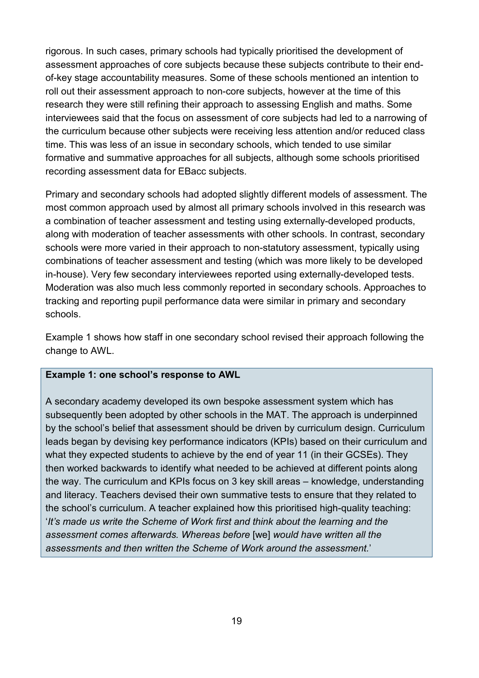rigorous. In such cases, primary schools had typically prioritised the development of assessment approaches of core subjects because these subjects contribute to their endof-key stage accountability measures. Some of these schools mentioned an intention to roll out their assessment approach to non-core subjects, however at the time of this research they were still refining their approach to assessing English and maths. Some interviewees said that the focus on assessment of core subjects had led to a narrowing of the curriculum because other subjects were receiving less attention and/or reduced class time. This was less of an issue in secondary schools, which tended to use similar formative and summative approaches for all subjects, although some schools prioritised recording assessment data for EBacc subjects.

Primary and secondary schools had adopted slightly different models of assessment. The most common approach used by almost all primary schools involved in this research was a combination of teacher assessment and testing using externally-developed products, along with moderation of teacher assessments with other schools. In contrast, secondary schools were more varied in their approach to non-statutory assessment, typically using combinations of teacher assessment and testing (which was more likely to be developed in-house). Very few secondary interviewees reported using externally-developed tests. Moderation was also much less commonly reported in secondary schools. Approaches to tracking and reporting pupil performance data were similar in primary and secondary schools.

Example 1 shows how staff in one secondary school revised their approach following the change to AWL.

#### **Example 1: one school's response to AWL**

A secondary academy developed its own bespoke assessment system which has subsequently been adopted by other schools in the MAT. The approach is underpinned by the school's belief that assessment should be driven by curriculum design. Curriculum leads began by devising key performance indicators (KPIs) based on their curriculum and what they expected students to achieve by the end of year 11 (in their GCSEs). They then worked backwards to identify what needed to be achieved at different points along the way. The curriculum and KPIs focus on 3 key skill areas – knowledge, understanding and literacy. Teachers devised their own summative tests to ensure that they related to the school's curriculum. A teacher explained how this prioritised high-quality teaching: '*It's made us write the Scheme of Work first and think about the learning and the assessment comes afterwards. Whereas before* [we] *would have written all the assessments and then written the Scheme of Work around the assessment.*'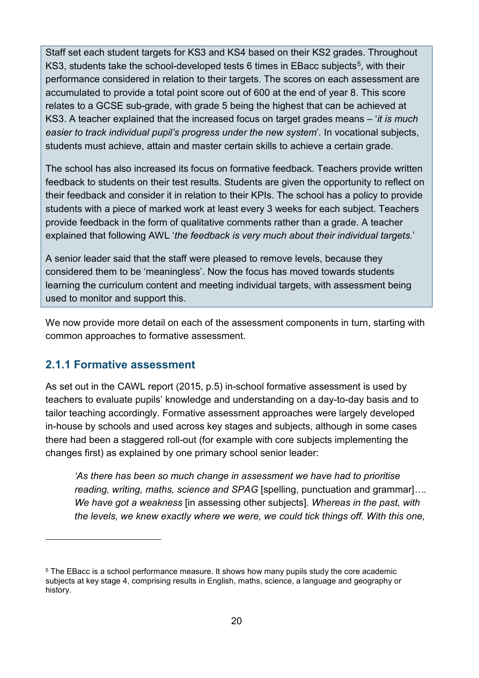Staff set each student targets for KS3 and KS4 based on their KS2 grades. Throughout KS3, students take the school-developed tests 6 times in EBacc subjects<sup>5</sup>, with their performance considered in relation to their targets. The scores on each assessment are accumulated to provide a total point score out of 600 at the end of year 8. This score relates to a GCSE sub-grade, with grade 5 being the highest that can be achieved at KS3. A teacher explained that the increased focus on target grades means *–* '*it is much easier to track individual pupil's progress under the new system*'*.* In vocational subjects, students must achieve, attain and master certain skills to achieve a certain grade.

The school has also increased its focus on formative feedback. Teachers provide written feedback to students on their test results. Students are given the opportunity to reflect on their feedback and consider it in relation to their KPIs. The school has a policy to provide students with a piece of marked work at least every 3 weeks for each subject. Teachers provide feedback in the form of qualitative comments rather than a grade. A teacher explained that following AWL '*the feedback is very much about their individual targets.*'

A senior leader said that the staff were pleased to remove levels, because they considered them to be 'meaningless'. Now the focus has moved towards students learning the curriculum content and meeting individual targets, with assessment being used to monitor and support this.

We now provide more detail on each of the assessment components in turn, starting with common approaches to formative assessment.

#### <span id="page-19-0"></span>**2.1.1 Formative assessment**

<u>.</u>

As set out in the CAWL report (2015, p.5) in-school formative assessment is used by teachers to evaluate pupils' knowledge and understanding on a day-to-day basis and to tailor teaching accordingly. Formative assessment approaches were largely developed in-house by schools and used across key stages and subjects, although in some cases there had been a staggered roll-out (for example with core subjects implementing the changes first) as explained by one primary school senior leader:

*'As there has been so much change in assessment we have had to prioritise reading, writing, maths, science and SPAG* [spelling, punctuation and grammar]*…. We have got a weakness* [in assessing other subjects]*. Whereas in the past, with the levels, we knew exactly where we were, we could tick things off. With this one,* 

<span id="page-19-1"></span><sup>5</sup> The EBacc is a school performance measure. It shows how many pupils study the core academic subjects at key stage 4, comprising results in English, maths, science, a language and geography or history.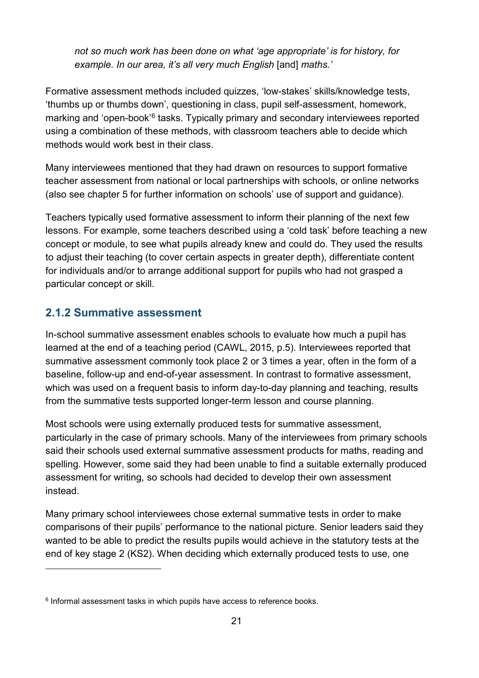*not so much work has been done on what 'age appropriate' is for history, for example. In our area, it's all very much English* [and] *maths.'* 

Formative assessment methods included quizzes, 'low-stakes' skills/knowledge tests, 'thumbs up or thumbs down', questioning in class, pupil self-assessment, homework, marking and 'open-book'<sup>6</sup> tasks. Typically primary and secondary interviewees reported using a combination of these methods, with classroom teachers able to decide which methods would work best in their class.

Many interviewees mentioned that they had drawn on resources to support formative teacher assessment from national or local partnerships with schools, or online networks (also see chapter 5 for further information on schools' use of support and guidance).

Teachers typically used formative assessment to inform their planning of the next few lessons. For example, some teachers described using a 'cold task' before teaching a new concept or module, to see what pupils already knew and could do. They used the results to adjust their teaching (to cover certain aspects in greater depth), differentiate content for individuals and/or to arrange additional support for pupils who had not grasped a particular concept or skill.

#### <span id="page-20-0"></span>**2.1.2 Summative assessment**

-

In-school summative assessment enables schools to evaluate how much a pupil has learned at the end of a teaching period (CAWL, 2015, p.5). Interviewees reported that summative assessment commonly took place 2 or 3 times a year, often in the form of a baseline, follow-up and end-of-year assessment. In contrast to formative assessment, which was used on a frequent basis to inform day-to-day planning and teaching, results from the summative tests supported longer-term lesson and course planning.

Most schools were using externally produced tests for summative assessment, particularly in the case of primary schools. Many of the interviewees from primary schools said their schools used external summative assessment products for maths, reading and spelling. However, some said they had been unable to find a suitable externally produced assessment for writing, so schools had decided to develop their own assessment instead.

Many primary school interviewees chose external summative tests in order to make comparisons of their pupils' performance to the national picture. Senior leaders said they wanted to be able to predict the results pupils would achieve in the statutory tests at the end of key stage 2 (KS2). When deciding which externally produced tests to use, one

<span id="page-20-1"></span><sup>&</sup>lt;sup>6</sup> Informal assessment tasks in which pupils have access to reference books.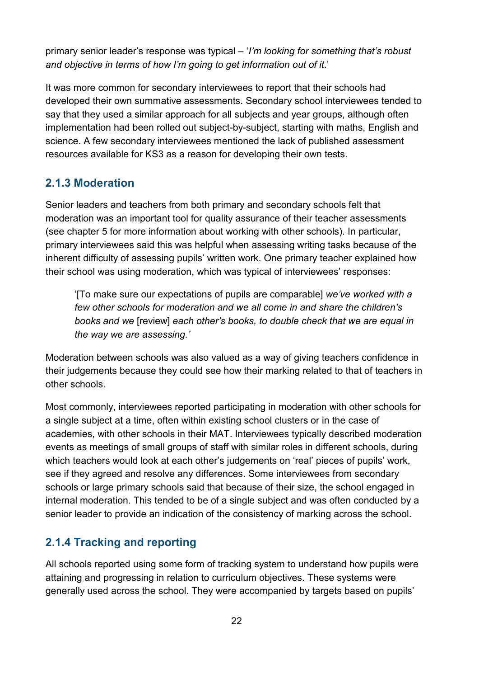primary senior leader's response was typical – '*I'm looking for something that's robust and objective in terms of how I'm going to get information out of it*.'

It was more common for secondary interviewees to report that their schools had developed their own summative assessments. Secondary school interviewees tended to say that they used a similar approach for all subjects and year groups, although often implementation had been rolled out subject-by-subject, starting with maths, English and science. A few secondary interviewees mentioned the lack of published assessment resources available for KS3 as a reason for developing their own tests.

#### <span id="page-21-0"></span>**2.1.3 Moderation**

Senior leaders and teachers from both primary and secondary schools felt that moderation was an important tool for quality assurance of their teacher assessments (see chapter 5 for more information about working with other schools). In particular, primary interviewees said this was helpful when assessing writing tasks because of the inherent difficulty of assessing pupils' written work. One primary teacher explained how their school was using moderation, which was typical of interviewees' responses:

'[To make sure our expectations of pupils are comparable] *we've worked with a few other schools for moderation and we all come in and share the children's books and we* [review] *each other's books, to double check that we are equal in the way we are assessing.'* 

Moderation between schools was also valued as a way of giving teachers confidence in their judgements because they could see how their marking related to that of teachers in other schools.

Most commonly, interviewees reported participating in moderation with other schools for a single subject at a time, often within existing school clusters or in the case of academies, with other schools in their MAT. Interviewees typically described moderation events as meetings of small groups of staff with similar roles in different schools, during which teachers would look at each other's judgements on 'real' pieces of pupils' work, see if they agreed and resolve any differences. Some interviewees from secondary schools or large primary schools said that because of their size, the school engaged in internal moderation. This tended to be of a single subject and was often conducted by a senior leader to provide an indication of the consistency of marking across the school.

#### <span id="page-21-1"></span>**2.1.4 Tracking and reporting**

All schools reported using some form of tracking system to understand how pupils were attaining and progressing in relation to curriculum objectives. These systems were generally used across the school. They were accompanied by targets based on pupils'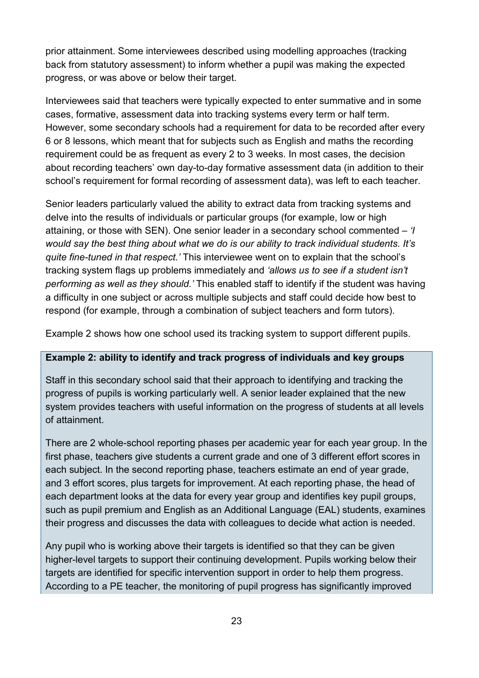prior attainment. Some interviewees described using modelling approaches (tracking back from statutory assessment) to inform whether a pupil was making the expected progress, or was above or below their target.

Interviewees said that teachers were typically expected to enter summative and in some cases, formative, assessment data into tracking systems every term or half term. However, some secondary schools had a requirement for data to be recorded after every 6 or 8 lessons, which meant that for subjects such as English and maths the recording requirement could be as frequent as every 2 to 3 weeks. In most cases, the decision about recording teachers' own day-to-day formative assessment data (in addition to their school's requirement for formal recording of assessment data), was left to each teacher.

Senior leaders particularly valued the ability to extract data from tracking systems and delve into the results of individuals or particular groups (for example, low or high attaining, or those with SEN). One senior leader in a secondary school commented – *'I would say the best thing about what we do is our ability to track individual students. It's quite fine-tuned in that respect.'* This interviewee went on to explain that the school's tracking system flags up problems immediately and *'allows us to see if a student isn't performing as well as they should.'* This enabled staff to identify if the student was having a difficulty in one subject or across multiple subjects and staff could decide how best to respond (for example, through a combination of subject teachers and form tutors).

Example 2 shows how one school used its tracking system to support different pupils.

#### **Example 2: ability to identify and track progress of individuals and key groups**

Staff in this secondary school said that their approach to identifying and tracking the progress of pupils is working particularly well. A senior leader explained that the new system provides teachers with useful information on the progress of students at all levels of attainment.

There are 2 whole-school reporting phases per academic year for each year group. In the first phase, teachers give students a current grade and one of 3 different effort scores in each subject. In the second reporting phase, teachers estimate an end of year grade, and 3 effort scores, plus targets for improvement. At each reporting phase, the head of each department looks at the data for every year group and identifies key pupil groups, such as pupil premium and English as an Additional Language (EAL) students, examines their progress and discusses the data with colleagues to decide what action is needed.

Any pupil who is working above their targets is identified so that they can be given higher-level targets to support their continuing development. Pupils working below their targets are identified for specific intervention support in order to help them progress. According to a PE teacher, the monitoring of pupil progress has significantly improved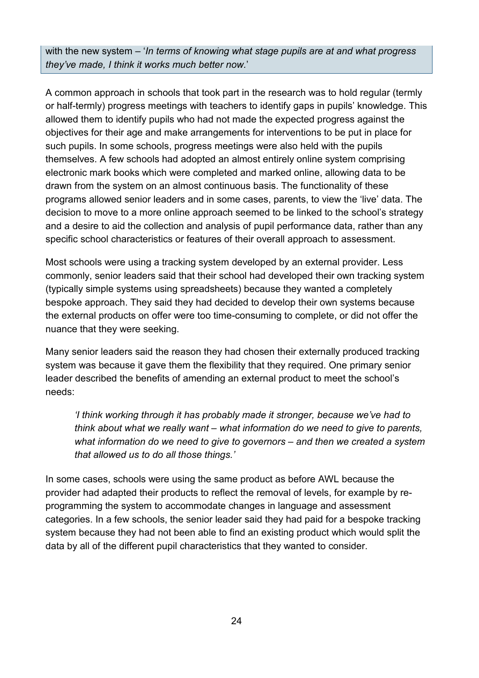with the new system – '*In terms of knowing what stage pupils are at and what progress they've made, I think it works much better now.*'

A common approach in schools that took part in the research was to hold regular (termly or half-termly) progress meetings with teachers to identify gaps in pupils' knowledge. This allowed them to identify pupils who had not made the expected progress against the objectives for their age and make arrangements for interventions to be put in place for such pupils. In some schools, progress meetings were also held with the pupils themselves. A few schools had adopted an almost entirely online system comprising electronic mark books which were completed and marked online, allowing data to be drawn from the system on an almost continuous basis. The functionality of these programs allowed senior leaders and in some cases, parents, to view the 'live' data. The decision to move to a more online approach seemed to be linked to the school's strategy and a desire to aid the collection and analysis of pupil performance data, rather than any specific school characteristics or features of their overall approach to assessment.

Most schools were using a tracking system developed by an external provider. Less commonly, senior leaders said that their school had developed their own tracking system (typically simple systems using spreadsheets) because they wanted a completely bespoke approach. They said they had decided to develop their own systems because the external products on offer were too time-consuming to complete, or did not offer the nuance that they were seeking.

Many senior leaders said the reason they had chosen their externally produced tracking system was because it gave them the flexibility that they required. One primary senior leader described the benefits of amending an external product to meet the school's needs:

*'I think working through it has probably made it stronger, because we've had to think about what we really want – what information do we need to give to parents, what information do we need to give to governors – and then we created a system that allowed us to do all those things.'* 

In some cases, schools were using the same product as before AWL because the provider had adapted their products to reflect the removal of levels, for example by reprogramming the system to accommodate changes in language and assessment categories. In a few schools, the senior leader said they had paid for a bespoke tracking system because they had not been able to find an existing product which would split the data by all of the different pupil characteristics that they wanted to consider.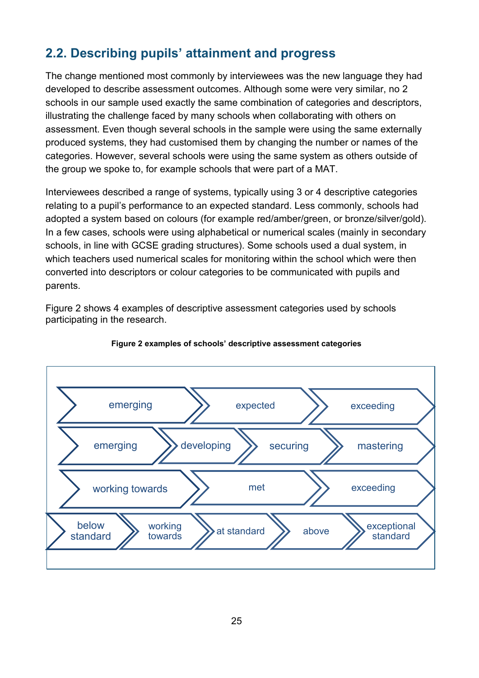## <span id="page-24-0"></span>**2.2. Describing pupils' attainment and progress**

The change mentioned most commonly by interviewees was the new language they had developed to describe assessment outcomes. Although some were very similar, no 2 schools in our sample used exactly the same combination of categories and descriptors, illustrating the challenge faced by many schools when collaborating with others on assessment. Even though several schools in the sample were using the same externally produced systems, they had customised them by changing the number or names of the categories. However, several schools were using the same system as others outside of the group we spoke to, for example schools that were part of a MAT.

Interviewees described a range of systems, typically using 3 or 4 descriptive categories relating to a pupil's performance to an expected standard. Less commonly, schools had adopted a system based on colours (for example red/amber/green, or bronze/silver/gold). In a few cases, schools were using alphabetical or numerical scales (mainly in secondary schools, in line with GCSE grading structures). Some schools used a dual system, in which teachers used numerical scales for monitoring within the school which were then converted into descriptors or colour categories to be communicated with pupils and parents.

Figure 2 shows 4 examples of descriptive assessment categories used by schools participating in the research.

<span id="page-24-1"></span>

#### **Figure 2 examples of schools' descriptive assessment categories**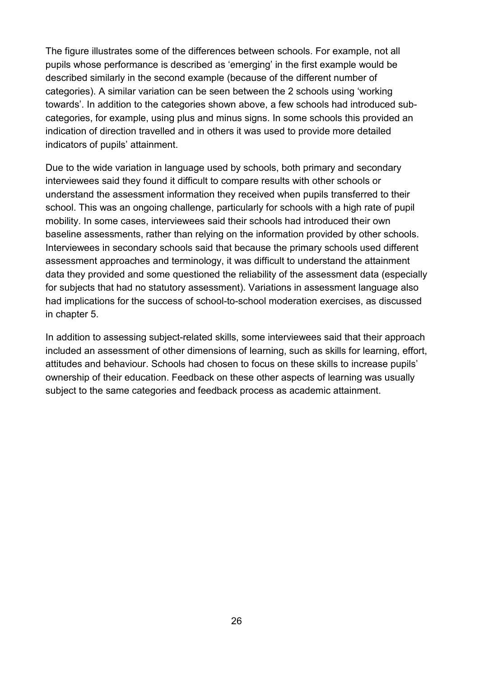The figure illustrates some of the differences between schools. For example, not all pupils whose performance is described as 'emerging' in the first example would be described similarly in the second example (because of the different number of categories). A similar variation can be seen between the 2 schools using 'working towards'. In addition to the categories shown above, a few schools had introduced subcategories, for example, using plus and minus signs. In some schools this provided an indication of direction travelled and in others it was used to provide more detailed indicators of pupils' attainment.

Due to the wide variation in language used by schools, both primary and secondary interviewees said they found it difficult to compare results with other schools or understand the assessment information they received when pupils transferred to their school. This was an ongoing challenge, particularly for schools with a high rate of pupil mobility. In some cases, interviewees said their schools had introduced their own baseline assessments, rather than relying on the information provided by other schools. Interviewees in secondary schools said that because the primary schools used different assessment approaches and terminology, it was difficult to understand the attainment data they provided and some questioned the reliability of the assessment data (especially for subjects that had no statutory assessment). Variations in assessment language also had implications for the success of school-to-school moderation exercises, as discussed in chapter 5.

In addition to assessing subject-related skills, some interviewees said that their approach included an assessment of other dimensions of learning, such as skills for learning, effort, attitudes and behaviour. Schools had chosen to focus on these skills to increase pupils' ownership of their education. Feedback on these other aspects of learning was usually subject to the same categories and feedback process as academic attainment.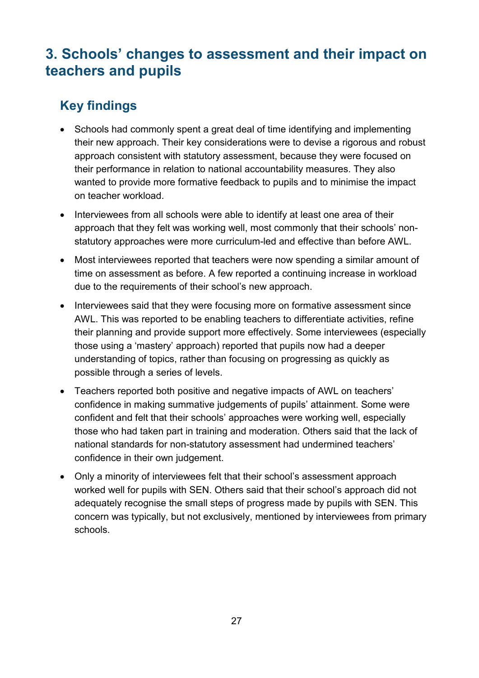# <span id="page-26-0"></span>**3. Schools' changes to assessment and their impact on teachers and pupils**

# <span id="page-26-1"></span>**Key findings**

- Schools had commonly spent a great deal of time identifying and implementing their new approach. Their key considerations were to devise a rigorous and robust approach consistent with statutory assessment, because they were focused on their performance in relation to national accountability measures. They also wanted to provide more formative feedback to pupils and to minimise the impact on teacher workload.
- Interviewees from all schools were able to identify at least one area of their approach that they felt was working well, most commonly that their schools' nonstatutory approaches were more curriculum-led and effective than before AWL.
- Most interviewees reported that teachers were now spending a similar amount of time on assessment as before. A few reported a continuing increase in workload due to the requirements of their school's new approach.
- Interviewees said that they were focusing more on formative assessment since AWL. This was reported to be enabling teachers to differentiate activities, refine their planning and provide support more effectively. Some interviewees (especially those using a 'mastery' approach) reported that pupils now had a deeper understanding of topics, rather than focusing on progressing as quickly as possible through a series of levels.
- Teachers reported both positive and negative impacts of AWL on teachers' confidence in making summative judgements of pupils' attainment. Some were confident and felt that their schools' approaches were working well, especially those who had taken part in training and moderation. Others said that the lack of national standards for non-statutory assessment had undermined teachers' confidence in their own judgement.
- Only a minority of interviewees felt that their school's assessment approach worked well for pupils with SEN. Others said that their school's approach did not adequately recognise the small steps of progress made by pupils with SEN. This concern was typically, but not exclusively, mentioned by interviewees from primary schools.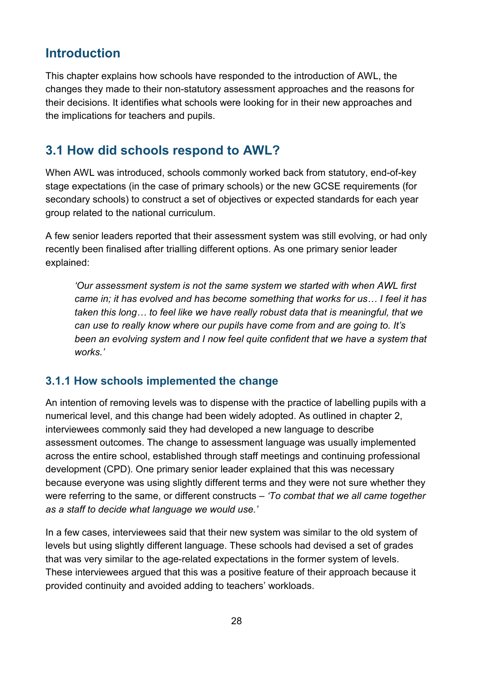## <span id="page-27-0"></span>**Introduction**

This chapter explains how schools have responded to the introduction of AWL, the changes they made to their non-statutory assessment approaches and the reasons for their decisions. It identifies what schools were looking for in their new approaches and the implications for teachers and pupils.

## <span id="page-27-1"></span>**3.1 How did schools respond to AWL?**

When AWL was introduced, schools commonly worked back from statutory, end-of-key stage expectations (in the case of primary schools) or the new GCSE requirements (for secondary schools) to construct a set of objectives or expected standards for each year group related to the national curriculum.

A few senior leaders reported that their assessment system was still evolving, or had only recently been finalised after trialling different options. As one primary senior leader explained:

*'Our assessment system is not the same system we started with when AWL first came in; it has evolved and has become something that works for us… I feel it has taken this long… to feel like we have really robust data that is meaningful, that we can use to really know where our pupils have come from and are going to. It's been an evolving system and I now feel quite confident that we have a system that works.'* 

#### <span id="page-27-2"></span>**3.1.1 How schools implemented the change**

An intention of removing levels was to dispense with the practice of labelling pupils with a numerical level, and this change had been widely adopted. As outlined in chapter 2, interviewees commonly said they had developed a new language to describe assessment outcomes. The change to assessment language was usually implemented across the entire school, established through staff meetings and continuing professional development (CPD). One primary senior leader explained that this was necessary because everyone was using slightly different terms and they were not sure whether they were referring to the same, or different constructs – *'To combat that we all came together as a staff to decide what language we would use.'*

In a few cases, interviewees said that their new system was similar to the old system of levels but using slightly different language. These schools had devised a set of grades that was very similar to the age-related expectations in the former system of levels. These interviewees argued that this was a positive feature of their approach because it provided continuity and avoided adding to teachers' workloads.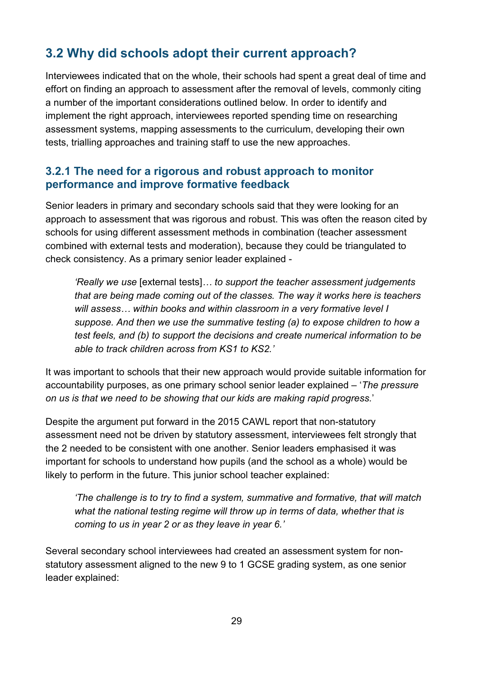## <span id="page-28-0"></span>**3.2 Why did schools adopt their current approach?**

Interviewees indicated that on the whole, their schools had spent a great deal of time and effort on finding an approach to assessment after the removal of levels, commonly citing a number of the important considerations outlined below. In order to identify and implement the right approach, interviewees reported spending time on researching assessment systems, mapping assessments to the curriculum, developing their own tests, trialling approaches and training staff to use the new approaches.

#### <span id="page-28-1"></span>**3.2.1 The need for a rigorous and robust approach to monitor performance and improve formative feedback**

Senior leaders in primary and secondary schools said that they were looking for an approach to assessment that was rigorous and robust. This was often the reason cited by schools for using different assessment methods in combination (teacher assessment combined with external tests and moderation), because they could be triangulated to check consistency. As a primary senior leader explained -

*'Really we use* [external tests]*… to support the teacher assessment judgements that are being made coming out of the classes. The way it works here is teachers will assess… within books and within classroom in a very formative level I suppose. And then we use the summative testing (a) to expose children to how a test feels, and (b) to support the decisions and create numerical information to be able to track children across from KS1 to KS2.'*

It was important to schools that their new approach would provide suitable information for accountability purposes, as one primary school senior leader explained – '*The pressure on us is that we need to be showing that our kids are making rapid progress.*'

Despite the argument put forward in the 2015 CAWL report that non-statutory assessment need not be driven by statutory assessment, interviewees felt strongly that the 2 needed to be consistent with one another. Senior leaders emphasised it was important for schools to understand how pupils (and the school as a whole) would be likely to perform in the future. This junior school teacher explained:

*'The challenge is to try to find a system, summative and formative, that will match what the national testing regime will throw up in terms of data, whether that is coming to us in year 2 or as they leave in year 6.'* 

Several secondary school interviewees had created an assessment system for nonstatutory assessment aligned to the new 9 to 1 GCSE grading system, as one senior leader explained: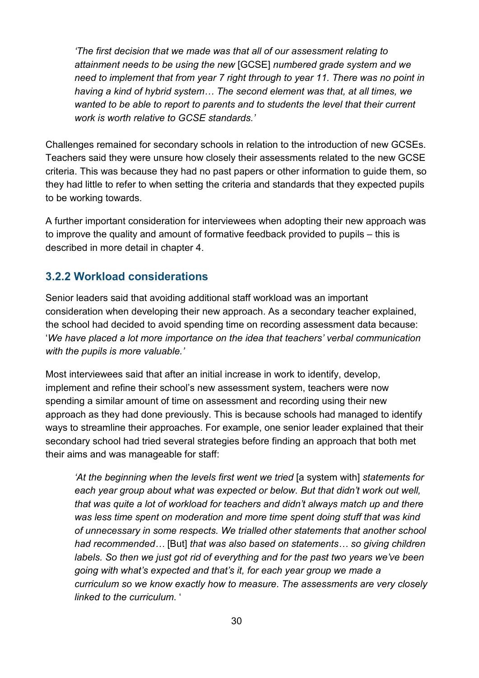*'The first decision that we made was that all of our assessment relating to attainment needs to be using the new* [GCSE] *numbered grade system and we need to implement that from year 7 right through to year 11. There was no point in having a kind of hybrid system… The second element was that, at all times, we wanted to be able to report to parents and to students the level that their current work is worth relative to GCSE standards.'* 

Challenges remained for secondary schools in relation to the introduction of new GCSEs. Teachers said they were unsure how closely their assessments related to the new GCSE criteria. This was because they had no past papers or other information to guide them, so they had little to refer to when setting the criteria and standards that they expected pupils to be working towards.

A further important consideration for interviewees when adopting their new approach was to improve the quality and amount of formative feedback provided to pupils – this is described in more detail in chapter 4.

#### <span id="page-29-0"></span>**3.2.2 Workload considerations**

Senior leaders said that avoiding additional staff workload was an important consideration when developing their new approach. As a secondary teacher explained, the school had decided to avoid spending time on recording assessment data because: '*We have placed a lot more importance on the idea that teachers' verbal communication with the pupils is more valuable.'*

Most interviewees said that after an initial increase in work to identify, develop, implement and refine their school's new assessment system, teachers were now spending a similar amount of time on assessment and recording using their new approach as they had done previously. This is because schools had managed to identify ways to streamline their approaches. For example, one senior leader explained that their secondary school had tried several strategies before finding an approach that both met their aims and was manageable for staff:

*'At the beginning when the levels first went we tried* [a system with] *statements for each year group about what was expected or below. But that didn't work out well, that was quite a lot of workload for teachers and didn't always match up and there was less time spent on moderation and more time spent doing stuff that was kind of unnecessary in some respects. We trialled other statements that another school had recommended…* [But] *that was also based on statements… so giving children labels. So then we just got rid of everything and for the past two years we've been going with what's expected and that's it, for each year group we made a curriculum so we know exactly how to measure*. *The assessments are very closely linked to the curriculum*. '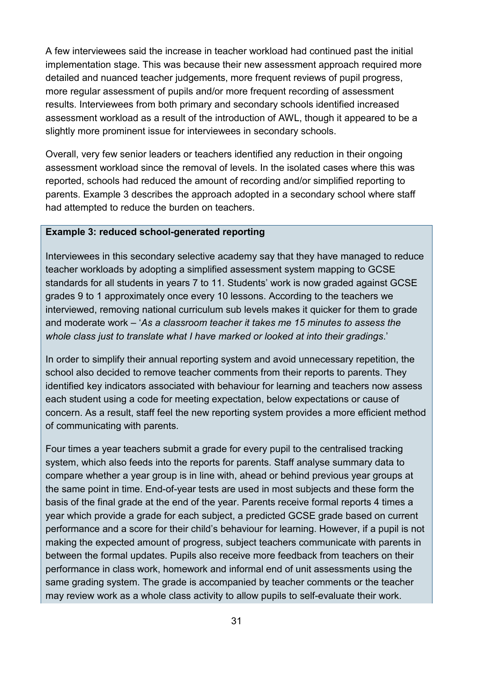A few interviewees said the increase in teacher workload had continued past the initial implementation stage. This was because their new assessment approach required more detailed and nuanced teacher judgements, more frequent reviews of pupil progress, more regular assessment of pupils and/or more frequent recording of assessment results. Interviewees from both primary and secondary schools identified increased assessment workload as a result of the introduction of AWL, though it appeared to be a slightly more prominent issue for interviewees in secondary schools.

Overall, very few senior leaders or teachers identified any reduction in their ongoing assessment workload since the removal of levels. In the isolated cases where this was reported, schools had reduced the amount of recording and/or simplified reporting to parents. Example 3 describes the approach adopted in a secondary school where staff had attempted to reduce the burden on teachers.

#### **Example 3: reduced school-generated reporting**

Interviewees in this secondary selective academy say that they have managed to reduce teacher workloads by adopting a simplified assessment system mapping to GCSE standards for all students in years 7 to 11*.* Students' work is now graded against GCSE grades 9 to 1 approximately once every 10 lessons. According to the teachers we interviewed, removing national curriculum sub levels makes it quicker for them to grade and moderate work – '*As a classroom teacher it takes me 15 minutes to assess the whole class just to translate what I have marked or looked at into their gradings*.'

In order to simplify their annual reporting system and avoid unnecessary repetition, the school also decided to remove teacher comments from their reports to parents. They identified key indicators associated with behaviour for learning and teachers now assess each student using a code for meeting expectation, below expectations or cause of concern. As a result, staff feel the new reporting system provides a more efficient method of communicating with parents.

Four times a year teachers submit a grade for every pupil to the centralised tracking system, which also feeds into the reports for parents. Staff analyse summary data to compare whether a year group is in line with, ahead or behind previous year groups at the same point in time. End-of-year tests are used in most subjects and these form the basis of the final grade at the end of the year. Parents receive formal reports 4 times a year which provide a grade for each subject, a predicted GCSE grade based on current performance and a score for their child's behaviour for learning. However, if a pupil is not making the expected amount of progress, subject teachers communicate with parents in between the formal updates. Pupils also receive more feedback from teachers on their performance in class work, homework and informal end of unit assessments using the same grading system. The grade is accompanied by teacher comments or the teacher may review work as a whole class activity to allow pupils to self-evaluate their work.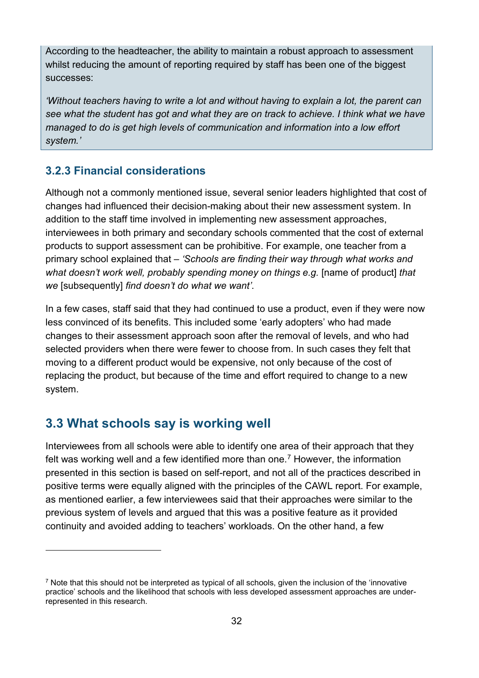According to the headteacher, the ability to maintain a robust approach to assessment whilst reducing the amount of reporting required by staff has been one of the biggest successes:

*'Without teachers having to write a lot and without having to explain a lot, the parent can see what the student has got and what they are on track to achieve. I think what we have managed to do is get high levels of communication and information into a low effort system.'*

#### <span id="page-31-0"></span>**3.2.3 Financial considerations**

Although not a commonly mentioned issue, several senior leaders highlighted that cost of changes had influenced their decision-making about their new assessment system. In addition to the staff time involved in implementing new assessment approaches, interviewees in both primary and secondary schools commented that the cost of external products to support assessment can be prohibitive. For example, one teacher from a primary school explained that – *'Schools are finding their way through what works and what doesn't work well, probably spending money on things e.g.* [name of product] *that we* [subsequently] *find doesn't do what we want'*.

In a few cases, staff said that they had continued to use a product, even if they were now less convinced of its benefits. This included some 'early adopters' who had made changes to their assessment approach soon after the removal of levels, and who had selected providers when there were fewer to choose from. In such cases they felt that moving to a different product would be expensive, not only because of the cost of replacing the product, but because of the time and effort required to change to a new system.

## <span id="page-31-1"></span>**3.3 What schools say is working well**

<u>.</u>

Interviewees from all schools were able to identify one area of their approach that they felt was working well and a few identified more than one. [7](#page-31-2) However, the information presented in this section is based on self-report, and not all of the practices described in positive terms were equally aligned with the principles of the CAWL report. For example, as mentioned earlier, a few interviewees said that their approaches were similar to the previous system of levels and argued that this was a positive feature as it provided continuity and avoided adding to teachers' workloads. On the other hand, a few

<span id="page-31-2"></span><sup>7</sup> Note that this should not be interpreted as typical of all schools, given the inclusion of the 'innovative practice' schools and the likelihood that schools with less developed assessment approaches are underrepresented in this research.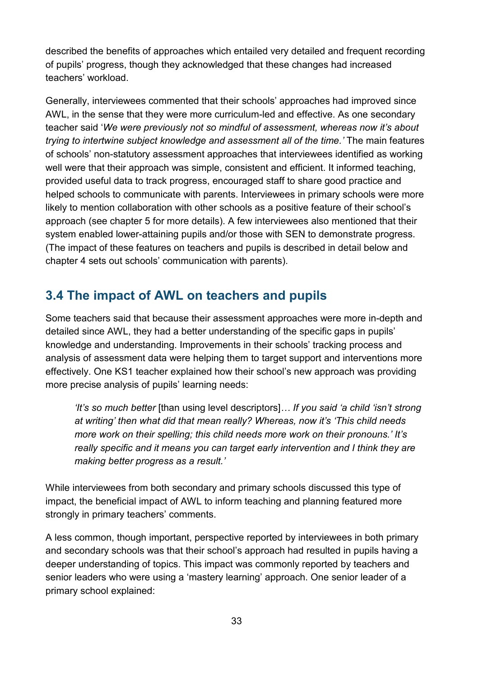described the benefits of approaches which entailed very detailed and frequent recording of pupils' progress, though they acknowledged that these changes had increased teachers' workload.

Generally, interviewees commented that their schools' approaches had improved since AWL, in the sense that they were more curriculum-led and effective. As one secondary teacher said '*We were previously not so mindful of assessment, whereas now it's about trying to intertwine subject knowledge and assessment all of the time.'* The main features of schools' non-statutory assessment approaches that interviewees identified as working well were that their approach was simple, consistent and efficient. It informed teaching, provided useful data to track progress, encouraged staff to share good practice and helped schools to communicate with parents. Interviewees in primary schools were more likely to mention collaboration with other schools as a positive feature of their school's approach (see chapter 5 for more details). A few interviewees also mentioned that their system enabled lower-attaining pupils and/or those with SEN to demonstrate progress. (The impact of these features on teachers and pupils is described in detail below and chapter 4 sets out schools' communication with parents).

## <span id="page-32-0"></span>**3.4 The impact of AWL on teachers and pupils**

Some teachers said that because their assessment approaches were more in-depth and detailed since AWL, they had a better understanding of the specific gaps in pupils' knowledge and understanding. Improvements in their schools' tracking process and analysis of assessment data were helping them to target support and interventions more effectively. One KS1 teacher explained how their school's new approach was providing more precise analysis of pupils' learning needs:

*'It's so much better* [than using level descriptors]*… If you said 'a child 'isn't strong at writing' then what did that mean really? Whereas, now it's 'This child needs more work on their spelling; this child needs more work on their pronouns.' It's really specific and it means you can target early intervention and I think they are making better progress as a result.'* 

While interviewees from both secondary and primary schools discussed this type of impact, the beneficial impact of AWL to inform teaching and planning featured more strongly in primary teachers' comments.

A less common, though important, perspective reported by interviewees in both primary and secondary schools was that their school's approach had resulted in pupils having a deeper understanding of topics. This impact was commonly reported by teachers and senior leaders who were using a 'mastery learning' approach. One senior leader of a primary school explained: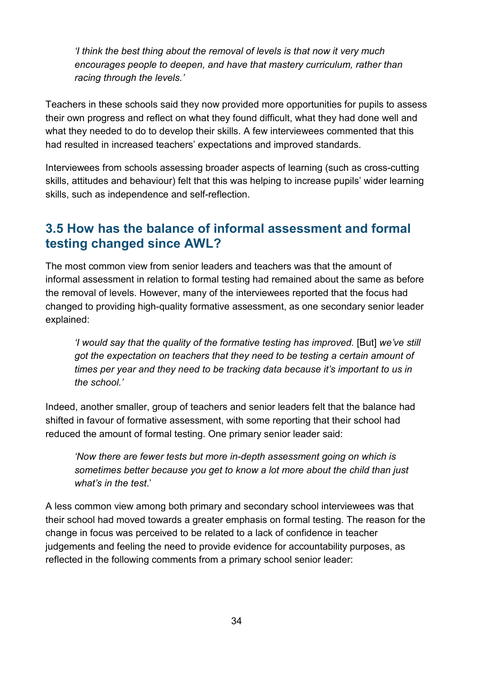*'I think the best thing about the removal of levels is that now it very much encourages people to deepen, and have that mastery curriculum, rather than racing through the levels.'* 

Teachers in these schools said they now provided more opportunities for pupils to assess their own progress and reflect on what they found difficult, what they had done well and what they needed to do to develop their skills. A few interviewees commented that this had resulted in increased teachers' expectations and improved standards.

Interviewees from schools assessing broader aspects of learning (such as cross-cutting skills, attitudes and behaviour) felt that this was helping to increase pupils' wider learning skills, such as independence and self-reflection.

## <span id="page-33-0"></span>**3.5 How has the balance of informal assessment and formal testing changed since AWL?**

The most common view from senior leaders and teachers was that the amount of informal assessment in relation to formal testing had remained about the same as before the removal of levels. However, many of the interviewees reported that the focus had changed to providing high-quality formative assessment, as one secondary senior leader explained:

*'I would say that the quality of the formative testing has improved.* [But] *we've still got the expectation on teachers that they need to be testing a certain amount of times per year and they need to be tracking data because it's important to us in the school.'* 

Indeed, another smaller, group of teachers and senior leaders felt that the balance had shifted in favour of formative assessment, with some reporting that their school had reduced the amount of formal testing. One primary senior leader said:

*'Now there are fewer tests but more in-depth assessment going on which is sometimes better because you get to know a lot more about the child than just what's in the test*.'

A less common view among both primary and secondary school interviewees was that their school had moved towards a greater emphasis on formal testing. The reason for the change in focus was perceived to be related to a lack of confidence in teacher judgements and feeling the need to provide evidence for accountability purposes, as reflected in the following comments from a primary school senior leader: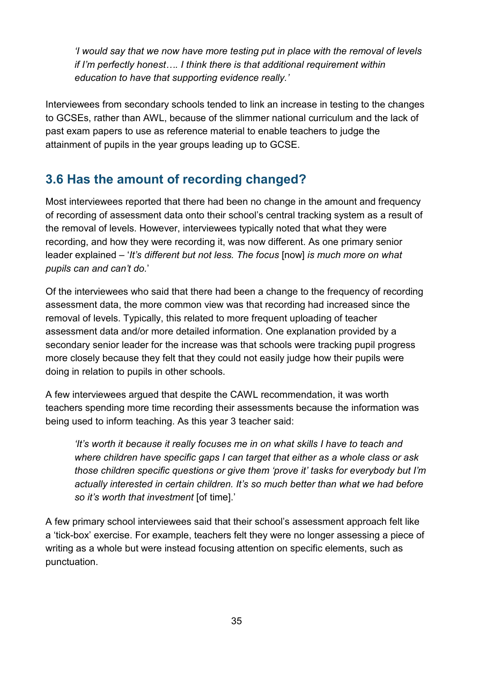*'I would say that we now have more testing put in place with the removal of levels if I'm perfectly honest…. I think there is that additional requirement within education to have that supporting evidence really.'* 

Interviewees from secondary schools tended to link an increase in testing to the changes to GCSEs, rather than AWL, because of the slimmer national curriculum and the lack of past exam papers to use as reference material to enable teachers to judge the attainment of pupils in the year groups leading up to GCSE.

## <span id="page-34-0"></span>**3.6 Has the amount of recording changed?**

Most interviewees reported that there had been no change in the amount and frequency of recording of assessment data onto their school's central tracking system as a result of the removal of levels. However, interviewees typically noted that what they were recording, and how they were recording it, was now different. As one primary senior leader explained – '*It's different but not less. The focus* [now] *is much more on what pupils can and can't do.*'

Of the interviewees who said that there had been a change to the frequency of recording assessment data, the more common view was that recording had increased since the removal of levels. Typically, this related to more frequent uploading of teacher assessment data and/or more detailed information. One explanation provided by a secondary senior leader for the increase was that schools were tracking pupil progress more closely because they felt that they could not easily judge how their pupils were doing in relation to pupils in other schools.

A few interviewees argued that despite the CAWL recommendation, it was worth teachers spending more time recording their assessments because the information was being used to inform teaching. As this year 3 teacher said:

*'It's worth it because it really focuses me in on what skills I have to teach and where children have specific gaps I can target that either as a whole class or ask those children specific questions or give them 'prove it' tasks for everybody but I'm actually interested in certain children. It's so much better than what we had before so it's worth that investment* [of time].'

A few primary school interviewees said that their school's assessment approach felt like a 'tick-box' exercise. For example, teachers felt they were no longer assessing a piece of writing as a whole but were instead focusing attention on specific elements, such as punctuation.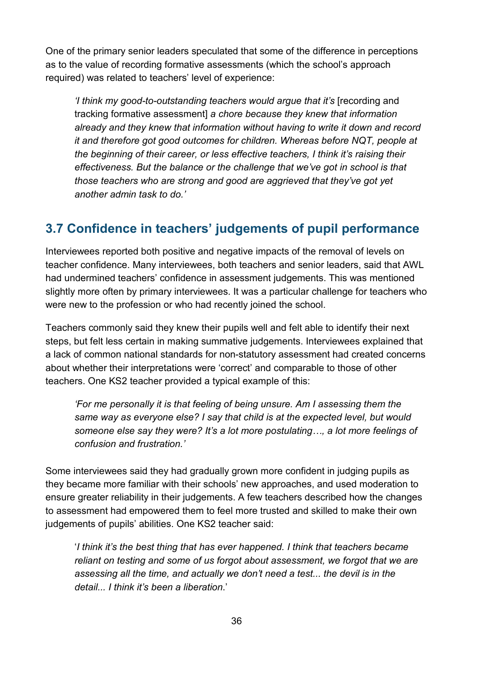One of the primary senior leaders speculated that some of the difference in perceptions as to the value of recording formative assessments (which the school's approach required) was related to teachers' level of experience:

*'I think my good-to-outstanding teachers would argue that it's* [recording and tracking formative assessment] *a chore because they knew that information already and they knew that information without having to write it down and record it and therefore got good outcomes for children. Whereas before NQT, people at the beginning of their career, or less effective teachers, I think it's raising their effectiveness. But the balance or the challenge that we've got in school is that those teachers who are strong and good are aggrieved that they've got yet another admin task to do.'* 

## <span id="page-35-0"></span>**3.7 Confidence in teachers' judgements of pupil performance**

Interviewees reported both positive and negative impacts of the removal of levels on teacher confidence. Many interviewees, both teachers and senior leaders, said that AWL had undermined teachers' confidence in assessment judgements. This was mentioned slightly more often by primary interviewees. It was a particular challenge for teachers who were new to the profession or who had recently joined the school.

Teachers commonly said they knew their pupils well and felt able to identify their next steps, but felt less certain in making summative judgements. Interviewees explained that a lack of common national standards for non-statutory assessment had created concerns about whether their interpretations were 'correct' and comparable to those of other teachers. One KS2 teacher provided a typical example of this:

*'For me personally it is that feeling of being unsure. Am I assessing them the same way as everyone else? I say that child is at the expected level, but would someone else say they were? It's a lot more postulating…, a lot more feelings of confusion and frustration.'* 

Some interviewees said they had gradually grown more confident in judging pupils as they became more familiar with their schools' new approaches, and used moderation to ensure greater reliability in their judgements. A few teachers described how the changes to assessment had empowered them to feel more trusted and skilled to make their own judgements of pupils' abilities. One KS2 teacher said:

 '*I think it's the best thing that has ever happened. I think that teachers became reliant on testing and some of us forgot about assessment, we forgot that we are assessing all the time, and actually we don't need a test... the devil is in the detail... I think it's been a liberation*.'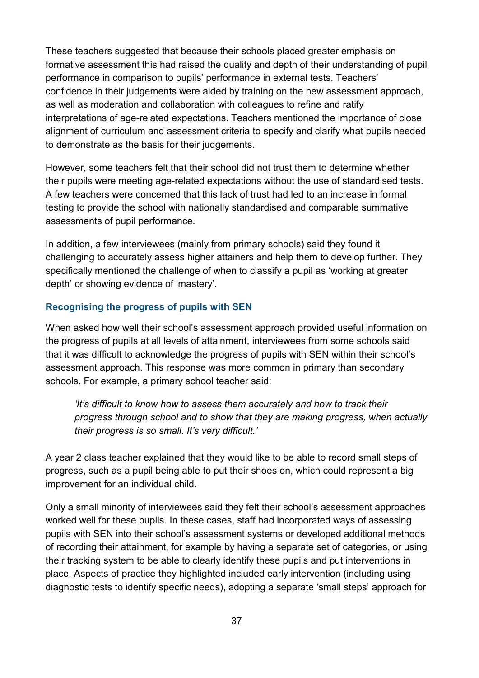These teachers suggested that because their schools placed greater emphasis on formative assessment this had raised the quality and depth of their understanding of pupil performance in comparison to pupils' performance in external tests. Teachers' confidence in their judgements were aided by training on the new assessment approach, as well as moderation and collaboration with colleagues to refine and ratify interpretations of age-related expectations. Teachers mentioned the importance of close alignment of curriculum and assessment criteria to specify and clarify what pupils needed to demonstrate as the basis for their judgements.

However, some teachers felt that their school did not trust them to determine whether their pupils were meeting age-related expectations without the use of standardised tests. A few teachers were concerned that this lack of trust had led to an increase in formal testing to provide the school with nationally standardised and comparable summative assessments of pupil performance.

In addition, a few interviewees (mainly from primary schools) said they found it challenging to accurately assess higher attainers and help them to develop further. They specifically mentioned the challenge of when to classify a pupil as 'working at greater depth' or showing evidence of 'mastery'.

#### **Recognising the progress of pupils with SEN**

When asked how well their school's assessment approach provided useful information on the progress of pupils at all levels of attainment, interviewees from some schools said that it was difficult to acknowledge the progress of pupils with SEN within their school's assessment approach. This response was more common in primary than secondary schools. For example, a primary school teacher said:

*'It's difficult to know how to assess them accurately and how to track their progress through school and to show that they are making progress, when actually their progress is so small. It's very difficult.'* 

A year 2 class teacher explained that they would like to be able to record small steps of progress, such as a pupil being able to put their shoes on, which could represent a big improvement for an individual child.

Only a small minority of interviewees said they felt their school's assessment approaches worked well for these pupils. In these cases, staff had incorporated ways of assessing pupils with SEN into their school's assessment systems or developed additional methods of recording their attainment, for example by having a separate set of categories, or using their tracking system to be able to clearly identify these pupils and put interventions in place. Aspects of practice they highlighted included early intervention (including using diagnostic tests to identify specific needs), adopting a separate 'small steps' approach for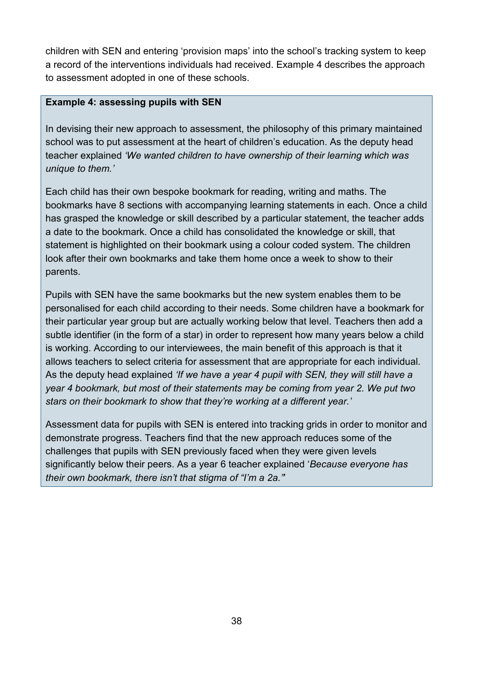children with SEN and entering 'provision maps' into the school's tracking system to keep a record of the interventions individuals had received. Example 4 describes the approach to assessment adopted in one of these schools.

#### **Example 4: assessing pupils with SEN**

In devising their new approach to assessment, the philosophy of this primary maintained school was to put assessment at the heart of children's education. As the deputy head teacher explained *'We wanted children to have ownership of their learning which was unique to them.'* 

Each child has their own bespoke bookmark for reading, writing and maths. The bookmarks have 8 sections with accompanying learning statements in each. Once a child has grasped the knowledge or skill described by a particular statement, the teacher adds a date to the bookmark. Once a child has consolidated the knowledge or skill, that statement is highlighted on their bookmark using a colour coded system. The children look after their own bookmarks and take them home once a week to show to their parents.

Pupils with SEN have the same bookmarks but the new system enables them to be personalised for each child according to their needs. Some children have a bookmark for their particular year group but are actually working below that level. Teachers then add a subtle identifier (in the form of a star) in order to represent how many years below a child is working. According to our interviewees, the main benefit of this approach is that it allows teachers to select criteria for assessment that are appropriate for each individual. As the deputy head explained *'If we have a year 4 pupil with SEN, they will still have a year 4 bookmark, but most of their statements may be coming from year 2. We put two stars on their bookmark to show that they're working at a different year.'*

Assessment data for pupils with SEN is entered into tracking grids in order to monitor and demonstrate progress. Teachers find that the new approach reduces some of the challenges that pupils with SEN previously faced when they were given levels significantly below their peers. As a year 6 teacher explained '*Because everyone has their own bookmark, there isn't that stigma of "I'm a 2a."*'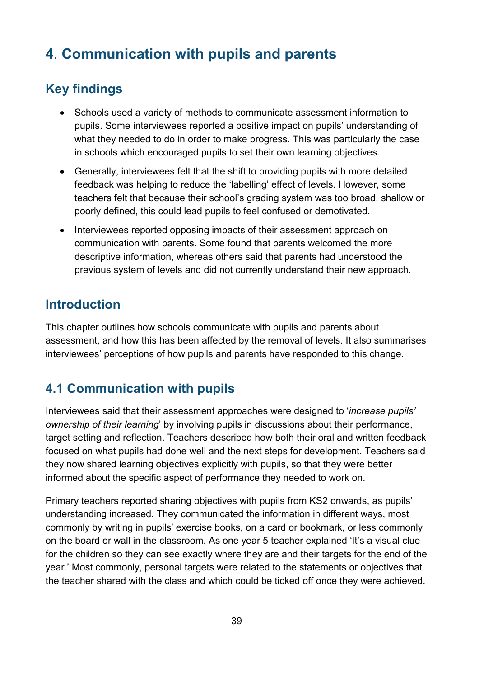# <span id="page-38-0"></span>**4**. **Communication with pupils and parents**

## <span id="page-38-1"></span>**Key findings**

- Schools used a variety of methods to communicate assessment information to pupils. Some interviewees reported a positive impact on pupils' understanding of what they needed to do in order to make progress. This was particularly the case in schools which encouraged pupils to set their own learning objectives.
- Generally, interviewees felt that the shift to providing pupils with more detailed feedback was helping to reduce the 'labelling' effect of levels. However, some teachers felt that because their school's grading system was too broad, shallow or poorly defined, this could lead pupils to feel confused or demotivated.
- Interviewees reported opposing impacts of their assessment approach on communication with parents. Some found that parents welcomed the more descriptive information, whereas others said that parents had understood the previous system of levels and did not currently understand their new approach.

## <span id="page-38-2"></span>**Introduction**

This chapter outlines how schools communicate with pupils and parents about assessment, and how this has been affected by the removal of levels. It also summarises interviewees' perceptions of how pupils and parents have responded to this change.

## **4.1 Communication with pupils**

Interviewees said that their assessment approaches were designed to '*increase pupils' ownership of their learning*' by involving pupils in discussions about their performance, target setting and reflection. Teachers described how both their oral and written feedback focused on what pupils had done well and the next steps for development. Teachers said they now shared learning objectives explicitly with pupils, so that they were better informed about the specific aspect of performance they needed to work on.

Primary teachers reported sharing objectives with pupils from KS2 onwards, as pupils' understanding increased. They communicated the information in different ways, most commonly by writing in pupils' exercise books, on a card or bookmark, or less commonly on the board or wall in the classroom. As one year 5 teacher explained 'It's a visual clue for the children so they can see exactly where they are and their targets for the end of the year.' Most commonly, personal targets were related to the statements or objectives that the teacher shared with the class and which could be ticked off once they were achieved.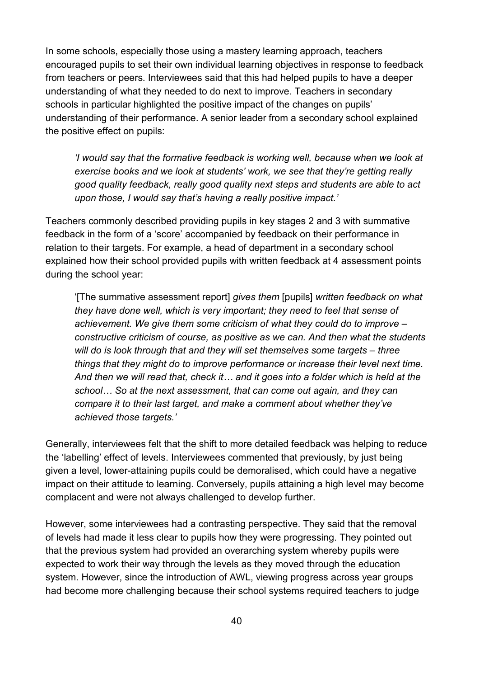In some schools, especially those using a mastery learning approach, teachers encouraged pupils to set their own individual learning objectives in response to feedback from teachers or peers. Interviewees said that this had helped pupils to have a deeper understanding of what they needed to do next to improve. Teachers in secondary schools in particular highlighted the positive impact of the changes on pupils' understanding of their performance. A senior leader from a secondary school explained the positive effect on pupils:

*'I would say that the formative feedback is working well, because when we look at exercise books and we look at students' work, we see that they're getting really good quality feedback, really good quality next steps and students are able to act upon those, I would say that's having a really positive impact.'* 

Teachers commonly described providing pupils in key stages 2 and 3 with summative feedback in the form of a 'score' accompanied by feedback on their performance in relation to their targets. For example, a head of department in a secondary school explained how their school provided pupils with written feedback at 4 assessment points during the school year:

'[The summative assessment report] *gives them* [pupils] *written feedback on what they have done well, which is very important; they need to feel that sense of achievement. We give them some criticism of what they could do to improve – constructive criticism of course, as positive as we can. And then what the students will do is look through that and they will set themselves some targets – three things that they might do to improve performance or increase their level next time. And then we will read that, check it… and it goes into a folder which is held at the school… So at the next assessment, that can come out again, and they can compare it to their last target, and make a comment about whether they've achieved those targets.'* 

Generally, interviewees felt that the shift to more detailed feedback was helping to reduce the 'labelling' effect of levels. Interviewees commented that previously, by just being given a level, lower-attaining pupils could be demoralised, which could have a negative impact on their attitude to learning. Conversely, pupils attaining a high level may become complacent and were not always challenged to develop further.

However, some interviewees had a contrasting perspective. They said that the removal of levels had made it less clear to pupils how they were progressing. They pointed out that the previous system had provided an overarching system whereby pupils were expected to work their way through the levels as they moved through the education system. However, since the introduction of AWL, viewing progress across year groups had become more challenging because their school systems required teachers to judge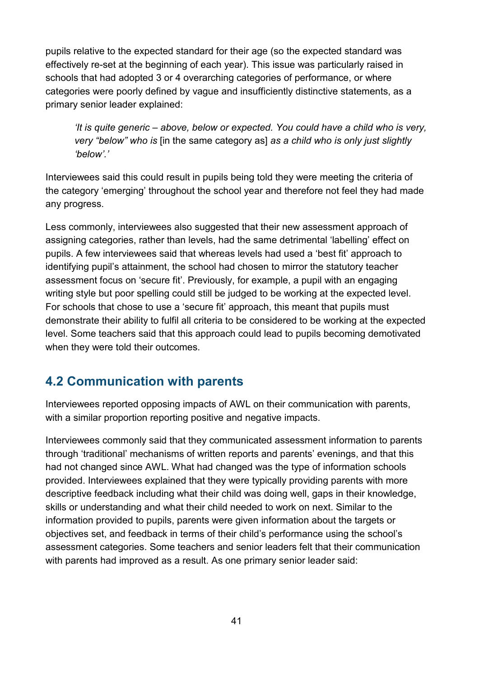pupils relative to the expected standard for their age (so the expected standard was effectively re-set at the beginning of each year). This issue was particularly raised in schools that had adopted 3 or 4 overarching categories of performance, or where categories were poorly defined by vague and insufficiently distinctive statements, as a primary senior leader explained:

*'It is quite generic – above, below or expected. You could have a child who is very, very "below" who is* [in the same category as] *as a child who is only just slightly 'below'.'* 

Interviewees said this could result in pupils being told they were meeting the criteria of the category 'emerging' throughout the school year and therefore not feel they had made any progress.

Less commonly, interviewees also suggested that their new assessment approach of assigning categories, rather than levels, had the same detrimental 'labelling' effect on pupils. A few interviewees said that whereas levels had used a 'best fit' approach to identifying pupil's attainment, the school had chosen to mirror the statutory teacher assessment focus on 'secure fit'. Previously, for example, a pupil with an engaging writing style but poor spelling could still be judged to be working at the expected level. For schools that chose to use a 'secure fit' approach, this meant that pupils must demonstrate their ability to fulfil all criteria to be considered to be working at the expected level. Some teachers said that this approach could lead to pupils becoming demotivated when they were told their outcomes.

## <span id="page-40-0"></span>**4.2 Communication with parents**

Interviewees reported opposing impacts of AWL on their communication with parents, with a similar proportion reporting positive and negative impacts.

Interviewees commonly said that they communicated assessment information to parents through 'traditional' mechanisms of written reports and parents' evenings, and that this had not changed since AWL. What had changed was the type of information schools provided. Interviewees explained that they were typically providing parents with more descriptive feedback including what their child was doing well, gaps in their knowledge, skills or understanding and what their child needed to work on next. Similar to the information provided to pupils, parents were given information about the targets or objectives set, and feedback in terms of their child's performance using the school's assessment categories. Some teachers and senior leaders felt that their communication with parents had improved as a result. As one primary senior leader said: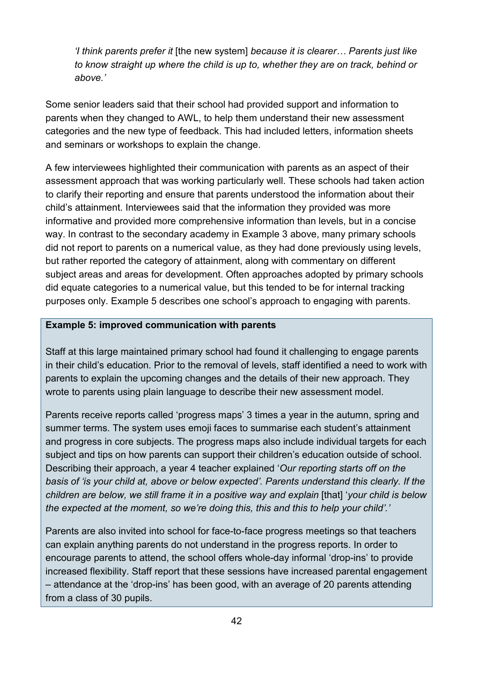*'I think parents prefer it* [the new system] *because it is clearer… Parents just like to know straight up where the child is up to, whether they are on track, behind or above.'* 

Some senior leaders said that their school had provided support and information to parents when they changed to AWL, to help them understand their new assessment categories and the new type of feedback. This had included letters, information sheets and seminars or workshops to explain the change.

A few interviewees highlighted their communication with parents as an aspect of their assessment approach that was working particularly well. These schools had taken action to clarify their reporting and ensure that parents understood the information about their child's attainment. Interviewees said that the information they provided was more informative and provided more comprehensive information than levels, but in a concise way. In contrast to the secondary academy in Example 3 above, many primary schools did not report to parents on a numerical value, as they had done previously using levels, but rather reported the category of attainment, along with commentary on different subject areas and areas for development. Often approaches adopted by primary schools did equate categories to a numerical value, but this tended to be for internal tracking purposes only. Example 5 describes one school's approach to engaging with parents.

#### **Example 5: improved communication with parents**

Staff at this large maintained primary school had found it challenging to engage parents in their child's education. Prior to the removal of levels, staff identified a need to work with parents to explain the upcoming changes and the details of their new approach. They wrote to parents using plain language to describe their new assessment model.

Parents receive reports called 'progress maps' 3 times a year in the autumn, spring and summer terms. The system uses emoji faces to summarise each student's attainment and progress in core subjects. The progress maps also include individual targets for each subject and tips on how parents can support their children's education outside of school. Describing their approach, a year 4 teacher explained '*Our reporting starts off on the basis of 'is your child at, above or below expected'. Parents understand this clearly. If the children are below, we still frame it in a positive way and explain* [that] '*your child is below the expected at the moment, so we're doing this, this and this to help your child'.'*

Parents are also invited into school for face-to-face progress meetings so that teachers can explain anything parents do not understand in the progress reports. In order to encourage parents to attend, the school offers whole-day informal 'drop-ins' to provide increased flexibility. Staff report that these sessions have increased parental engagement – attendance at the 'drop-ins' has been good, with an average of 20 parents attending from a class of 30 pupils.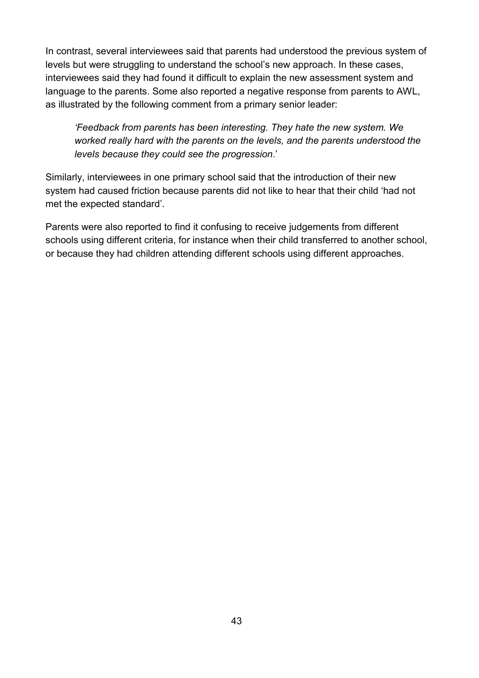In contrast, several interviewees said that parents had understood the previous system of levels but were struggling to understand the school's new approach. In these cases, interviewees said they had found it difficult to explain the new assessment system and language to the parents. Some also reported a negative response from parents to AWL, as illustrated by the following comment from a primary senior leader:

*'Feedback from parents has been interesting. They hate the new system. We worked really hard with the parents on the levels, and the parents understood the levels because they could see the progression*.'

Similarly, interviewees in one primary school said that the introduction of their new system had caused friction because parents did not like to hear that their child 'had not met the expected standard'.

Parents were also reported to find it confusing to receive judgements from different schools using different criteria, for instance when their child transferred to another school, or because they had children attending different schools using different approaches.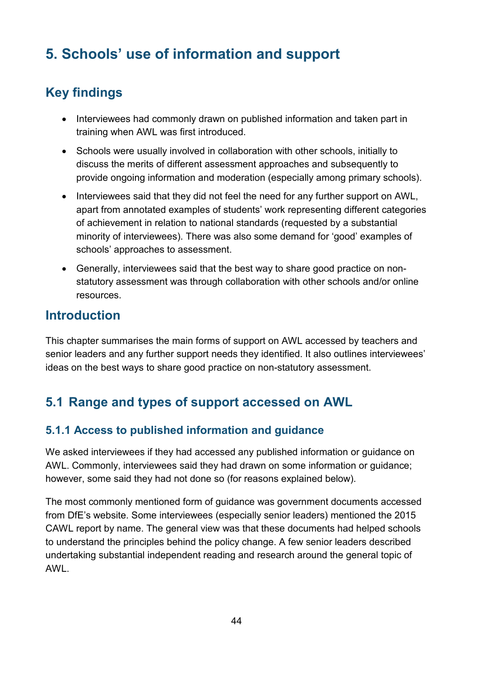# <span id="page-43-0"></span>**5. Schools' use of information and support**

# <span id="page-43-1"></span>**Key findings**

- Interviewees had commonly drawn on published information and taken part in training when AWL was first introduced.
- Schools were usually involved in collaboration with other schools, initially to discuss the merits of different assessment approaches and subsequently to provide ongoing information and moderation (especially among primary schools).
- Interviewees said that they did not feel the need for any further support on AWL, apart from annotated examples of students' work representing different categories of achievement in relation to national standards (requested by a substantial minority of interviewees). There was also some demand for 'good' examples of schools' approaches to assessment.
- Generally, interviewees said that the best way to share good practice on nonstatutory assessment was through collaboration with other schools and/or online resources.

## <span id="page-43-2"></span>**Introduction**

This chapter summarises the main forms of support on AWL accessed by teachers and senior leaders and any further support needs they identified. It also outlines interviewees' ideas on the best ways to share good practice on non-statutory assessment.

## <span id="page-43-3"></span>**5.1 Range and types of support accessed on AWL**

#### <span id="page-43-4"></span>**5.1.1 Access to published information and guidance**

We asked interviewees if they had accessed any published information or guidance on AWL. Commonly, interviewees said they had drawn on some information or guidance; however, some said they had not done so (for reasons explained below).

The most commonly mentioned form of guidance was government documents accessed from DfE's website. Some interviewees (especially senior leaders) mentioned the 2015 CAWL report by name. The general view was that these documents had helped schools to understand the principles behind the policy change. A few senior leaders described undertaking substantial independent reading and research around the general topic of AWL.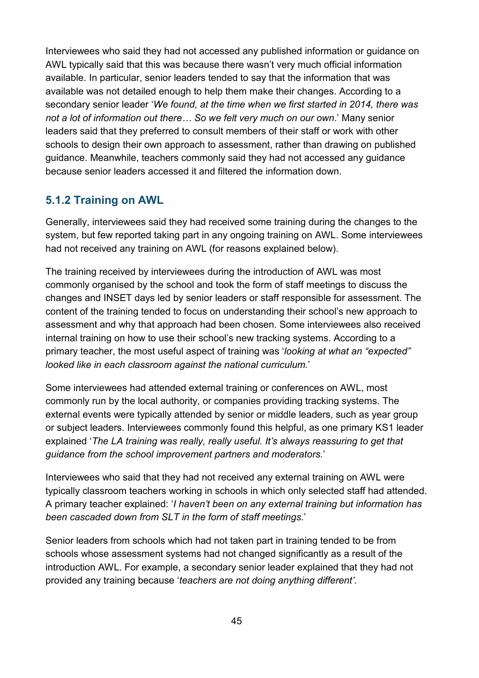Interviewees who said they had not accessed any published information or guidance on AWL typically said that this was because there wasn't very much official information available. In particular, senior leaders tended to say that the information that was available was not detailed enough to help them make their changes. According to a secondary senior leader '*We found, at the time when we first started in 2014, there was not a lot of information out there… So we felt very much on our own*.' Many senior leaders said that they preferred to consult members of their staff or work with other schools to design their own approach to assessment, rather than drawing on published guidance. Meanwhile, teachers commonly said they had not accessed any guidance because senior leaders accessed it and filtered the information down.

#### <span id="page-44-0"></span>**5.1.2 Training on AWL**

Generally, interviewees said they had received some training during the changes to the system, but few reported taking part in any ongoing training on AWL. Some interviewees had not received any training on AWL (for reasons explained below).

The training received by interviewees during the introduction of AWL was most commonly organised by the school and took the form of staff meetings to discuss the changes and INSET days led by senior leaders or staff responsible for assessment. The content of the training tended to focus on understanding their school's new approach to assessment and why that approach had been chosen. Some interviewees also received internal training on how to use their school's new tracking systems. According to a primary teacher, the most useful aspect of training was '*looking at what an "expected" looked like in each classroom against the national curriculum.*'

Some interviewees had attended external training or conferences on AWL, most commonly run by the local authority, or companies providing tracking systems. The external events were typically attended by senior or middle leaders, such as year group or subject leaders. Interviewees commonly found this helpful, as one primary KS1 leader explained '*The LA training was really, really useful. It's always reassuring to get that guidance from the school improvement partners and moderators.*'

Interviewees who said that they had not received any external training on AWL were typically classroom teachers working in schools in which only selected staff had attended. A primary teacher explained: '*I haven't been on any external training but information has been cascaded down from SLT in the form of staff meetings*.'

Senior leaders from schools which had not taken part in training tended to be from schools whose assessment systems had not changed significantly as a result of the introduction AWL. For example, a secondary senior leader explained that they had not provided any training because '*teachers are not doing anything different'*.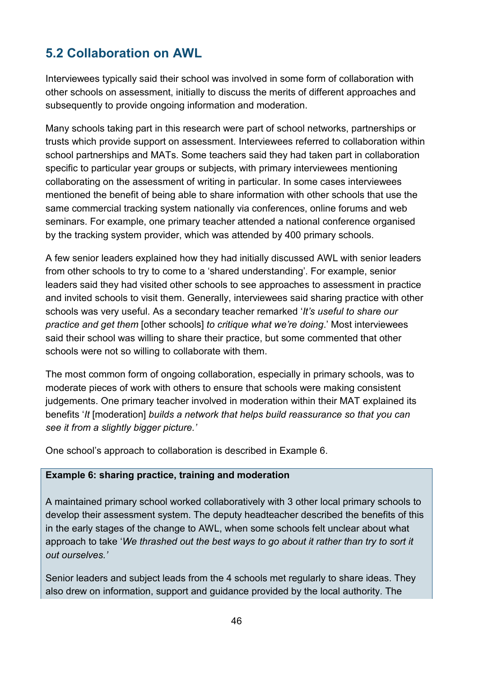## <span id="page-45-0"></span>**5.2 Collaboration on AWL**

Interviewees typically said their school was involved in some form of collaboration with other schools on assessment, initially to discuss the merits of different approaches and subsequently to provide ongoing information and moderation.

Many schools taking part in this research were part of school networks, partnerships or trusts which provide support on assessment. Interviewees referred to collaboration within school partnerships and MATs. Some teachers said they had taken part in collaboration specific to particular year groups or subjects, with primary interviewees mentioning collaborating on the assessment of writing in particular. In some cases interviewees mentioned the benefit of being able to share information with other schools that use the same commercial tracking system nationally via conferences, online forums and web seminars. For example, one primary teacher attended a national conference organised by the tracking system provider, which was attended by 400 primary schools.

A few senior leaders explained how they had initially discussed AWL with senior leaders from other schools to try to come to a 'shared understanding'. For example, senior leaders said they had visited other schools to see approaches to assessment in practice and invited schools to visit them. Generally, interviewees said sharing practice with other schools was very useful. As a secondary teacher remarked '*It's useful to share our practice and get them* [other schools] *to critique what we're doing*.' Most interviewees said their school was willing to share their practice, but some commented that other schools were not so willing to collaborate with them.

The most common form of ongoing collaboration, especially in primary schools, was to moderate pieces of work with others to ensure that schools were making consistent judgements. One primary teacher involved in moderation within their MAT explained its benefits '*It* [moderation] *builds a network that helps build reassurance so that you can see it from a slightly bigger picture.'* 

One school's approach to collaboration is described in Example 6.

#### **Example 6: sharing practice, training and moderation**

A maintained primary school worked collaboratively with 3 other local primary schools to develop their assessment system. The deputy headteacher described the benefits of this in the early stages of the change to AWL, when some schools felt unclear about what approach to take '*We thrashed out the best ways to go about it rather than try to sort it out ourselves.'* 

Senior leaders and subject leads from the 4 schools met regularly to share ideas. They also drew on information, support and guidance provided by the local authority. The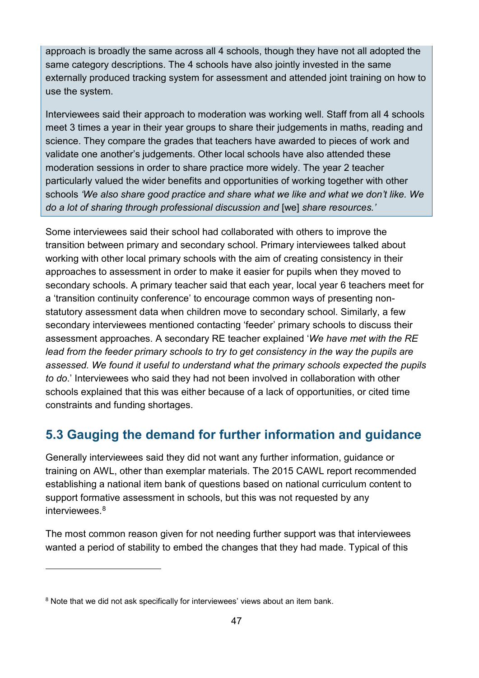approach is broadly the same across all 4 schools, though they have not all adopted the same category descriptions. The 4 schools have also jointly invested in the same externally produced tracking system for assessment and attended joint training on how to use the system.

Interviewees said their approach to moderation was working well. Staff from all 4 schools meet 3 times a year in their year groups to share their judgements in maths, reading and science. They compare the grades that teachers have awarded to pieces of work and validate one another's judgements. Other local schools have also attended these moderation sessions in order to share practice more widely. The year 2 teacher particularly valued the wider benefits and opportunities of working together with other schools *'We also share good practice and share what we like and what we don't like. We do a lot of sharing through professional discussion and* [we] *share resources.'*

Some interviewees said their school had collaborated with others to improve the transition between primary and secondary school. Primary interviewees talked about working with other local primary schools with the aim of creating consistency in their approaches to assessment in order to make it easier for pupils when they moved to secondary schools. A primary teacher said that each year, local year 6 teachers meet for a 'transition continuity conference' to encourage common ways of presenting nonstatutory assessment data when children move to secondary school. Similarly, a few secondary interviewees mentioned contacting 'feeder' primary schools to discuss their assessment approaches. A secondary RE teacher explained '*We have met with the RE lead from the feeder primary schools to try to get consistency in the way the pupils are assessed. We found it useful to understand what the primary schools expected the pupils to do*.' Interviewees who said they had not been involved in collaboration with other schools explained that this was either because of a lack of opportunities, or cited time constraints and funding shortages.

## <span id="page-46-0"></span>**5.3 Gauging the demand for further information and guidance**

Generally interviewees said they did not want any further information, guidance or training on AWL, other than exemplar materials. The 2015 CAWL report recommended establishing a national item bank of questions based on national curriculum content to support formative assessment in schools, but this was not requested by any interviewees. [8](#page-46-1) 

The most common reason given for not needing further support was that interviewees wanted a period of stability to embed the changes that they had made. Typical of this

-

<span id="page-46-1"></span><sup>&</sup>lt;sup>8</sup> Note that we did not ask specifically for interviewees' views about an item bank.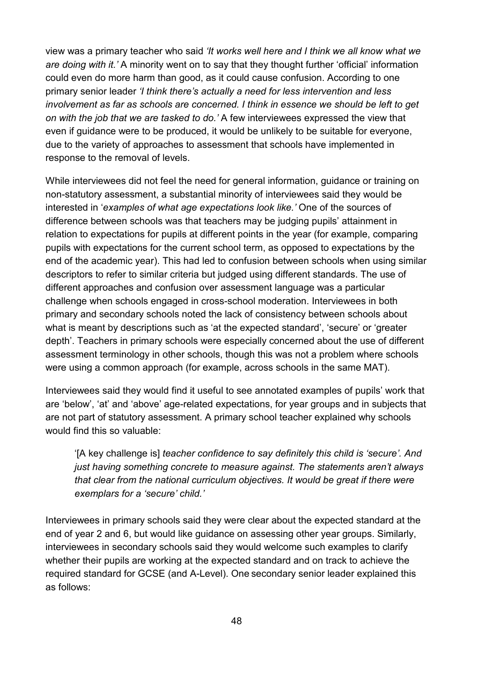view was a primary teacher who said *'It works well here and I think we all know what we are doing with it.'* A minority went on to say that they thought further 'official' information could even do more harm than good, as it could cause confusion. According to one primary senior leader *'I think there's actually a need for less intervention and less involvement as far as schools are concerned. I think in essence we should be left to get on with the job that we are tasked to do.'* A few interviewees expressed the view that even if guidance were to be produced, it would be unlikely to be suitable for everyone, due to the variety of approaches to assessment that schools have implemented in response to the removal of levels.

While interviewees did not feel the need for general information, guidance or training on non-statutory assessment, a substantial minority of interviewees said they would be interested in '*examples of what age expectations look like.'* One of the sources of difference between schools was that teachers may be judging pupils' attainment in relation to expectations for pupils at different points in the year (for example, comparing pupils with expectations for the current school term, as opposed to expectations by the end of the academic year). This had led to confusion between schools when using similar descriptors to refer to similar criteria but judged using different standards. The use of different approaches and confusion over assessment language was a particular challenge when schools engaged in cross-school moderation. Interviewees in both primary and secondary schools noted the lack of consistency between schools about what is meant by descriptions such as 'at the expected standard', 'secure' or 'greater depth'. Teachers in primary schools were especially concerned about the use of different assessment terminology in other schools, though this was not a problem where schools were using a common approach (for example, across schools in the same MAT).

Interviewees said they would find it useful to see annotated examples of pupils' work that are 'below', 'at' and 'above' age-related expectations, for year groups and in subjects that are not part of statutory assessment. A primary school teacher explained why schools would find this so valuable:

'[A key challenge is] *teacher confidence to say definitely this child is 'secure'. And just having something concrete to measure against. The statements aren't always that clear from the national curriculum objectives. It would be great if there were exemplars for a 'secure' child.'* 

Interviewees in primary schools said they were clear about the expected standard at the end of year 2 and 6, but would like guidance on assessing other year groups. Similarly, interviewees in secondary schools said they would welcome such examples to clarify whether their pupils are working at the expected standard and on track to achieve the required standard for GCSE (and A-Level). One secondary senior leader explained this as follows: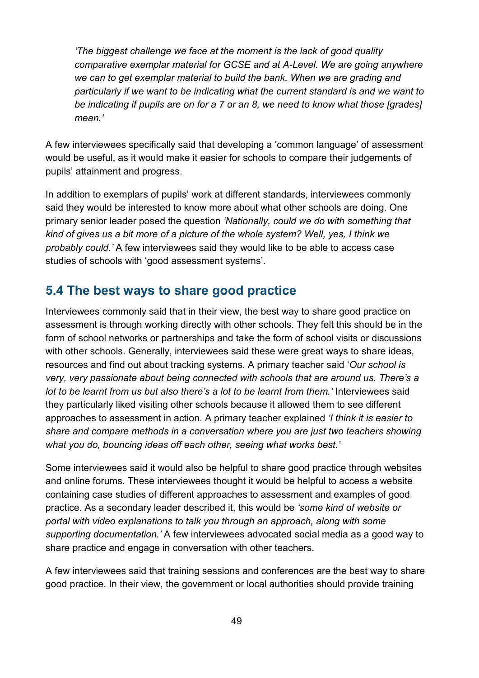*'The biggest challenge we face at the moment is the lack of good quality comparative exemplar material for GCSE and at A-Level. We are going anywhere we can to get exemplar material to build the bank. When we are grading and particularly if we want to be indicating what the current standard is and we want to be indicating if pupils are on for a 7 or an 8, we need to know what those [grades] mean.'* 

A few interviewees specifically said that developing a 'common language' of assessment would be useful, as it would make it easier for schools to compare their judgements of pupils' attainment and progress.

In addition to exemplars of pupils' work at different standards, interviewees commonly said they would be interested to know more about what other schools are doing. One primary senior leader posed the question *'Nationally, could we do with something that kind of gives us a bit more of a picture of the whole system? Well, yes, I think we probably could.'* A few interviewees said they would like to be able to access case studies of schools with 'good assessment systems'.

## <span id="page-48-0"></span>**5.4 The best ways to share good practice**

Interviewees commonly said that in their view, the best way to share good practice on assessment is through working directly with other schools. They felt this should be in the form of school networks or partnerships and take the form of school visits or discussions with other schools. Generally, interviewees said these were great ways to share ideas, resources and find out about tracking systems. A primary teacher said '*Our school is very, very passionate about being connected with schools that are around us. There's a lot to be learnt from us but also there's a lot to be learnt from them.'* Interviewees said they particularly liked visiting other schools because it allowed them to see different approaches to assessment in action. A primary teacher explained *'I think it is easier to share and compare methods in a conversation where you are just two teachers showing what you do, bouncing ideas off each other, seeing what works best.'*

Some interviewees said it would also be helpful to share good practice through websites and online forums. These interviewees thought it would be helpful to access a website containing case studies of different approaches to assessment and examples of good practice. As a secondary leader described it, this would be *'some kind of website or portal with video explanations to talk you through an approach, along with some supporting documentation.'* A few interviewees advocated social media as a good way to share practice and engage in conversation with other teachers.

A few interviewees said that training sessions and conferences are the best way to share good practice. In their view, the government or local authorities should provide training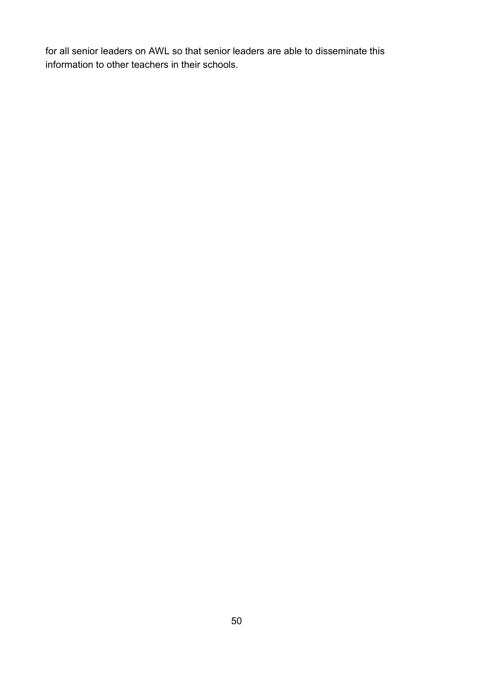for all senior leaders on AWL so that senior leaders are able to disseminate this information to other teachers in their schools.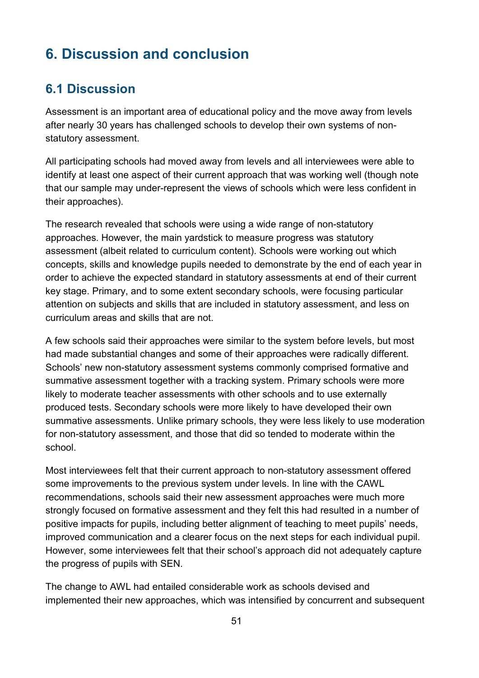# <span id="page-50-0"></span>**6. Discussion and conclusion**

## <span id="page-50-1"></span>**6.1 Discussion**

Assessment is an important area of educational policy and the move away from levels after nearly 30 years has challenged schools to develop their own systems of nonstatutory assessment.

All participating schools had moved away from levels and all interviewees were able to identify at least one aspect of their current approach that was working well (though note that our sample may under-represent the views of schools which were less confident in their approaches).

The research revealed that schools were using a wide range of non-statutory approaches. However, the main yardstick to measure progress was statutory assessment (albeit related to curriculum content). Schools were working out which concepts, skills and knowledge pupils needed to demonstrate by the end of each year in order to achieve the expected standard in statutory assessments at end of their current key stage. Primary, and to some extent secondary schools, were focusing particular attention on subjects and skills that are included in statutory assessment, and less on curriculum areas and skills that are not.

A few schools said their approaches were similar to the system before levels, but most had made substantial changes and some of their approaches were radically different. Schools' new non-statutory assessment systems commonly comprised formative and summative assessment together with a tracking system. Primary schools were more likely to moderate teacher assessments with other schools and to use externally produced tests. Secondary schools were more likely to have developed their own summative assessments. Unlike primary schools, they were less likely to use moderation for non-statutory assessment, and those that did so tended to moderate within the school.

Most interviewees felt that their current approach to non-statutory assessment offered some improvements to the previous system under levels. In line with the CAWL recommendations, schools said their new assessment approaches were much more strongly focused on formative assessment and they felt this had resulted in a number of positive impacts for pupils, including better alignment of teaching to meet pupils' needs, improved communication and a clearer focus on the next steps for each individual pupil. However, some interviewees felt that their school's approach did not adequately capture the progress of pupils with SEN.

The change to AWL had entailed considerable work as schools devised and implemented their new approaches, which was intensified by concurrent and subsequent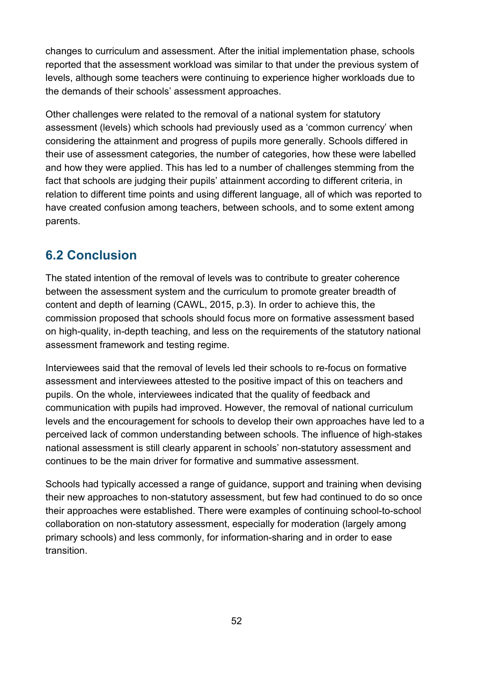changes to curriculum and assessment. After the initial implementation phase, schools reported that the assessment workload was similar to that under the previous system of levels, although some teachers were continuing to experience higher workloads due to the demands of their schools' assessment approaches.

Other challenges were related to the removal of a national system for statutory assessment (levels) which schools had previously used as a 'common currency' when considering the attainment and progress of pupils more generally. Schools differed in their use of assessment categories, the number of categories, how these were labelled and how they were applied. This has led to a number of challenges stemming from the fact that schools are judging their pupils' attainment according to different criteria, in relation to different time points and using different language, all of which was reported to have created confusion among teachers, between schools, and to some extent among parents.

## <span id="page-51-0"></span>**6.2 Conclusion**

The stated intention of the removal of levels was to contribute to greater coherence between the assessment system and the curriculum to promote greater breadth of content and depth of learning (CAWL, 2015, p.3). In order to achieve this, the commission proposed that schools should focus more on formative assessment based on high-quality, in-depth teaching, and less on the requirements of the statutory national assessment framework and testing regime.

Interviewees said that the removal of levels led their schools to re-focus on formative assessment and interviewees attested to the positive impact of this on teachers and pupils. On the whole, interviewees indicated that the quality of feedback and communication with pupils had improved. However, the removal of national curriculum levels and the encouragement for schools to develop their own approaches have led to a perceived lack of common understanding between schools. The influence of high-stakes national assessment is still clearly apparent in schools' non-statutory assessment and continues to be the main driver for formative and summative assessment.

Schools had typically accessed a range of guidance, support and training when devising their new approaches to non-statutory assessment, but few had continued to do so once their approaches were established. There were examples of continuing school-to-school collaboration on non-statutory assessment, especially for moderation (largely among primary schools) and less commonly, for information-sharing and in order to ease transition.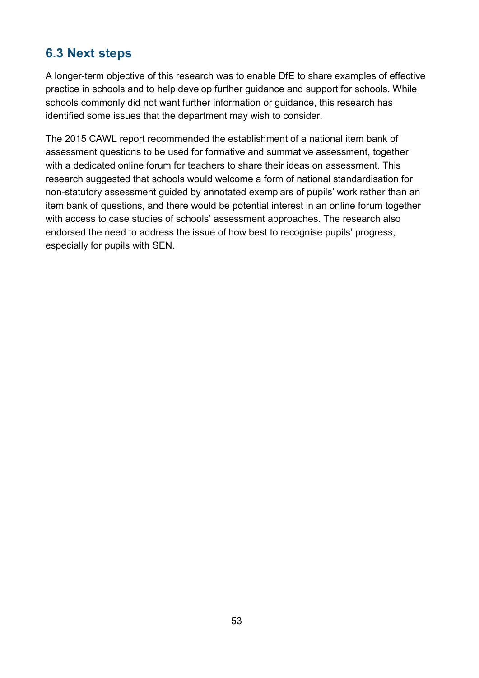## <span id="page-52-0"></span>**6.3 Next steps**

A longer-term objective of this research was to enable DfE to share examples of effective practice in schools and to help develop further guidance and support for schools. While schools commonly did not want further information or guidance, this research has identified some issues that the department may wish to consider.

The 2015 CAWL report recommended the establishment of a national item bank of assessment questions to be used for formative and summative assessment, together with a dedicated online forum for teachers to share their ideas on assessment. This research suggested that schools would welcome a form of national standardisation for non-statutory assessment guided by annotated exemplars of pupils' work rather than an item bank of questions, and there would be potential interest in an online forum together with access to case studies of schools' assessment approaches. The research also endorsed the need to address the issue of how best to recognise pupils' progress, especially for pupils with SEN.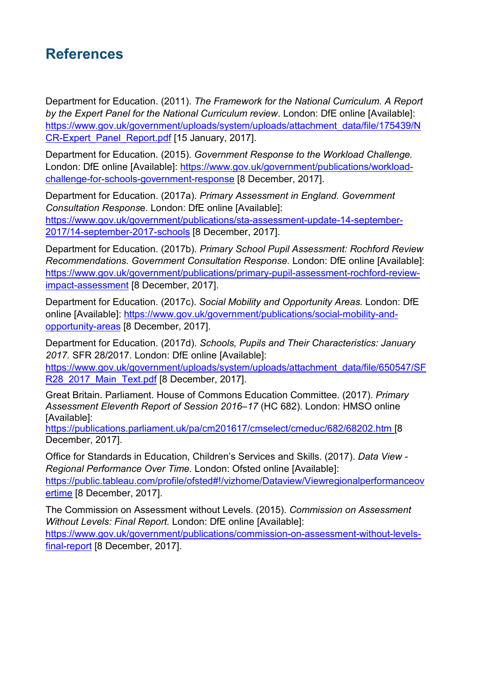# <span id="page-53-0"></span>**References**

Department for Education. (2011). *The Framework for the National Curriculum. A Report by the Expert Panel for the National Curriculum review*. London: DfE online [Available]: [https://www.gov.uk/government/uploads/system/uploads/attachment\\_data/file/175439/N](https://www.gov.uk/government/uploads/system/uploads/attachment_data/file/175439/NCR-Expert_Panel_Report.pdf) [CR-Expert\\_Panel\\_Report.pdf](https://www.gov.uk/government/uploads/system/uploads/attachment_data/file/175439/NCR-Expert_Panel_Report.pdf) [15 January, 2017].

Department for Education. (2015). *Government Response to the Workload Challenge.*  London: DfE online [Available]: [https://www.gov.uk/government/publications/workload](https://www.gov.uk/government/publications/workload-challenge-for-schools-government-response)[challenge-for-schools-government-response](https://www.gov.uk/government/publications/workload-challenge-for-schools-government-response) [8 December, 2017].

Department for Education. (2017a). *Primary Assessment in England. Government Consultation Respons*e. London: DfE online [Available]: [https://www.gov.uk/government/publications/sta-assessment-update-14-september-](https://www.gov.uk/government/publications/sta-assessment-update-14-september-2017/14-september-2017-schools)[2017/14-september-2017-schools](https://www.gov.uk/government/publications/sta-assessment-update-14-september-2017/14-september-2017-schools) [8 December, 2017].

Department for Education. (2017b). *Primary School Pupil Assessment: Rochford Review Recommendations. Government Consultation Response.* London: DfE online [Available]: [https://www.gov.uk/government/publications/primary-pupil-assessment-rochford-review](https://www.gov.uk/government/publications/primary-pupil-assessment-rochford-review-impact-assessment)[impact-assessment](https://www.gov.uk/government/publications/primary-pupil-assessment-rochford-review-impact-assessment) [8 December, 2017].

Department for Education. (2017c). *Social Mobility and Opportunity Areas.* London: DfE online [Available]: [https://www.gov.uk/government/publications/social-mobility-and](https://www.gov.uk/government/publications/social-mobility-and-opportunity-areas)[opportunity-areas](https://www.gov.uk/government/publications/social-mobility-and-opportunity-areas) [8 December, 2017].

Department for Education. (2017d). *Schools, Pupils and Their Characteristics: January 2017.* SFR 28/2017. London: DfE online [Available]:

[https://www.gov.uk/government/uploads/system/uploads/attachment\\_data/file/650547/SF](https://www.gov.uk/government/uploads/system/uploads/attachment_data/file/650547/SFR28_2017_Main_Text.pdf) [R28\\_2017\\_Main\\_Text.pdf](https://www.gov.uk/government/uploads/system/uploads/attachment_data/file/650547/SFR28_2017_Main_Text.pdf) [8 December, 2017].

Great Britain. Parliament. House of Commons Education Committee. (2017). *Primary Assessment Eleventh Report of Session 2016–17* (HC 682). London: HMSO online [Available]:

<https://publications.parliament.uk/pa/cm201617/cmselect/cmeduc/682/68202.htm> [8 December, 2017].

Office for Standards in Education, Children's Services and Skills. (2017). *Data View - Regional Performance Over Time.* London: Ofsted online [Available]: [https://public.tableau.com/profile/ofsted#!/vizhome/Dataview/Viewregionalperformanceov](https://public.tableau.com/profile/ofsted#!/vizhome/Dataview/Viewregionalperformanceovertime) [ertime](https://public.tableau.com/profile/ofsted#!/vizhome/Dataview/Viewregionalperformanceovertime) [8 December, 2017].

The Commission on Assessment without Levels. (2015). *Commission on Assessment Without Levels: Final Report.* London: DfE online [Available]: [https://www.gov.uk/government/publications/commission-on-assessment-without-levels](https://www.gov.uk/government/publications/commission-on-assessment-without-levels-final-report)[final-report](https://www.gov.uk/government/publications/commission-on-assessment-without-levels-final-report) [8 December, 2017].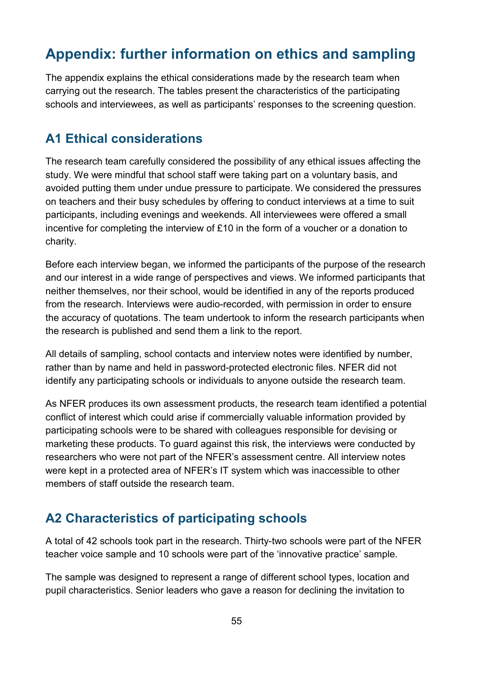# <span id="page-54-0"></span>**Appendix: further information on ethics and sampling**

The appendix explains the ethical considerations made by the research team when carrying out the research. The tables present the characteristics of the participating schools and interviewees, as well as participants' responses to the screening question.

## <span id="page-54-1"></span>**A1 Ethical considerations**

The research team carefully considered the possibility of any ethical issues affecting the study. We were mindful that school staff were taking part on a voluntary basis, and avoided putting them under undue pressure to participate. We considered the pressures on teachers and their busy schedules by offering to conduct interviews at a time to suit participants, including evenings and weekends. All interviewees were offered a small incentive for completing the interview of £10 in the form of a voucher or a donation to charity.

Before each interview began, we informed the participants of the purpose of the research and our interest in a wide range of perspectives and views. We informed participants that neither themselves, nor their school, would be identified in any of the reports produced from the research. Interviews were audio-recorded, with permission in order to ensure the accuracy of quotations. The team undertook to inform the research participants when the research is published and send them a link to the report.

All details of sampling, school contacts and interview notes were identified by number, rather than by name and held in password-protected electronic files. NFER did not identify any participating schools or individuals to anyone outside the research team.

As NFER produces its own assessment products, the research team identified a potential conflict of interest which could arise if commercially valuable information provided by participating schools were to be shared with colleagues responsible for devising or marketing these products. To guard against this risk, the interviews were conducted by researchers who were not part of the NFER's assessment centre. All interview notes were kept in a protected area of NFER's IT system which was inaccessible to other members of staff outside the research team.

## <span id="page-54-2"></span>**A2 Characteristics of participating schools**

A total of 42 schools took part in the research. Thirty-two schools were part of the NFER teacher voice sample and 10 schools were part of the 'innovative practice' sample.

The sample was designed to represent a range of different school types, location and pupil characteristics. Senior leaders who gave a reason for declining the invitation to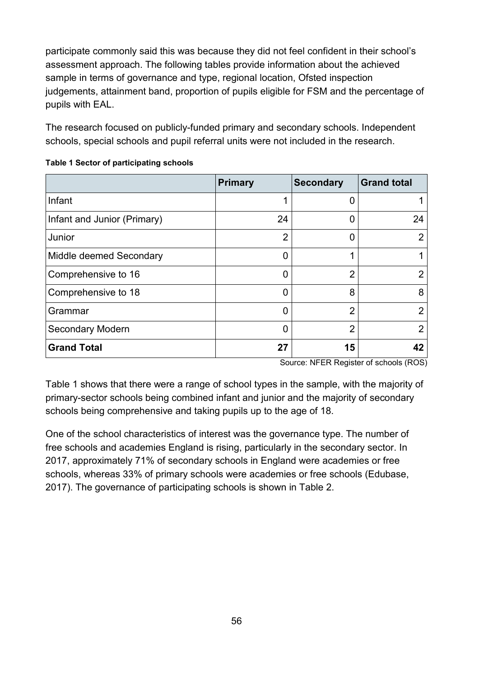participate commonly said this was because they did not feel confident in their school's assessment approach. The following tables provide information about the achieved sample in terms of governance and type, regional location, Ofsted inspection judgements, attainment band, proportion of pupils eligible for FSM and the percentage of pupils with EAL.

The research focused on publicly-funded primary and secondary schools. Independent schools, special schools and pupil referral units were not included in the research.

|                             | <b>Primary</b> | <b>Secondary</b> | <b>Grand total</b> |
|-----------------------------|----------------|------------------|--------------------|
| Infant                      |                | 0                |                    |
| Infant and Junior (Primary) | 24             | U                | 24                 |
| Junior                      | $\overline{2}$ | O                | $\overline{2}$     |
| Middle deemed Secondary     | 0              | 1                |                    |
| Comprehensive to 16         |                | $\overline{2}$   | 2                  |
| Comprehensive to 18         |                | 8                | 8                  |
| Grammar                     |                | $\overline{2}$   | $\overline{2}$     |
| <b>Secondary Modern</b>     |                | $\overline{2}$   | $\overline{2}$     |
| <b>Grand Total</b>          | 27             | 15               | 42                 |

#### <span id="page-55-0"></span>**Table 1 Sector of participating schools**

Source: NFER Register of schools (ROS)

Table 1 shows that there were a range of school types in the sample, with the majority of primary-sector schools being combined infant and junior and the majority of secondary schools being comprehensive and taking pupils up to the age of 18.

One of the school characteristics of interest was the governance type. The number of free schools and academies England is rising, particularly in the secondary sector. In 2017, approximately 71% of secondary schools in England were academies or free schools, whereas 33% of primary schools were academies or free schools (Edubase, 2017). The governance of participating schools is shown in Table 2.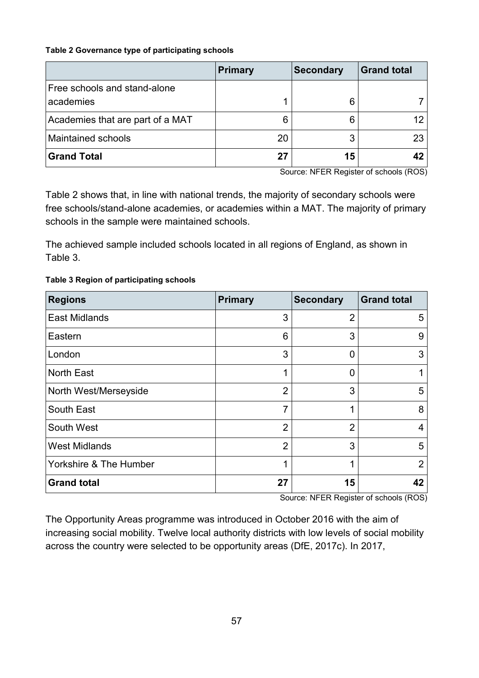#### <span id="page-56-0"></span>**Table 2 Governance type of participating schools**

|                                           | Primary | <b>Secondary</b> | <b>Grand total</b> |
|-------------------------------------------|---------|------------------|--------------------|
| Free schools and stand-alone<br>academies |         | 6                |                    |
| Academies that are part of a MAT          |         | 6                |                    |
| <b>Maintained schools</b>                 | 20      |                  | 23                 |
| <b>Grand Total</b>                        | 27      | 15               |                    |

Source: NFER Register of schools (ROS)

Table 2 shows that, in line with national trends, the majority of secondary schools were free schools/stand-alone academies, or academies within a MAT. The majority of primary schools in the sample were maintained schools.

The achieved sample included schools located in all regions of England, as shown in Table 3.

#### <span id="page-56-1"></span>**Table 3 Region of participating schools**

| <b>Regions</b>         | <b>Primary</b> | <b>Secondary</b> | <b>Grand total</b> |
|------------------------|----------------|------------------|--------------------|
| <b>East Midlands</b>   | 3              | 2                | 5                  |
| Eastern                | 6              | 3                | 9                  |
| London                 | 3              | 0                | 3                  |
| <b>North East</b>      | 1              | 0                | 1                  |
| North West/Merseyside  | $\overline{2}$ | 3                | 5                  |
| South East             | $\overline{7}$ | 1                | 8                  |
| South West             | $\overline{2}$ | $\overline{2}$   | 4                  |
| <b>West Midlands</b>   | $\overline{2}$ | 3                | 5                  |
| Yorkshire & The Humber | 1              | 1                | $\overline{2}$     |
| <b>Grand total</b>     | 27             | 15               | 42                 |

Source: NFER Register of schools (ROS)

The Opportunity Areas programme was introduced in October 2016 with the aim of increasing social mobility. Twelve local authority districts with low levels of social mobility across the country were selected to be opportunity areas (DfE, 2017c). In 2017,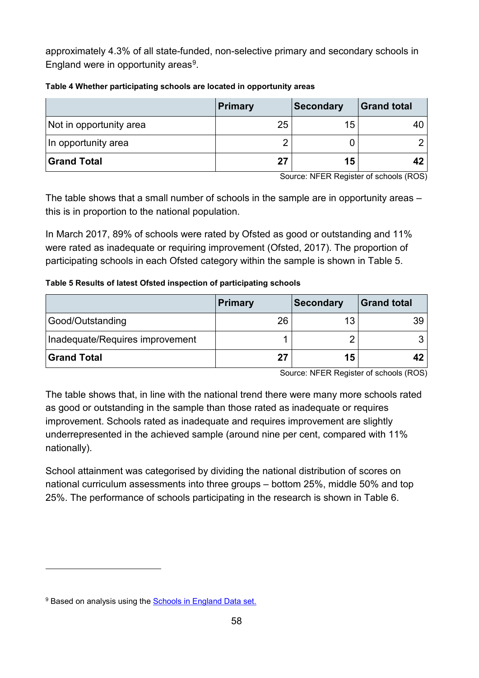approximately 4.3% of all state-funded, non-selective primary and secondary schools in England were in opportunity areas<sup>9</sup>.

|                         | Primary | <b>Secondary</b> | <b>Grand total</b> |
|-------------------------|---------|------------------|--------------------|
| Not in opportunity area | 25      | 15               |                    |
| In opportunity area     |         |                  |                    |
| Grand Total             | 27      | 15               | 42                 |

#### <span id="page-57-0"></span>**Table 4 Whether participating schools are located in opportunity areas**

Source: NFER Register of schools (ROS)

The table shows that a small number of schools in the sample are in opportunity areas – this is in proportion to the national population.

In March 2017, 89% of schools were rated by Ofsted as good or outstanding and 11% were rated as inadequate or requiring improvement (Ofsted, 2017). The proportion of participating schools in each Ofsted category within the sample is shown in Table 5.

#### <span id="page-57-1"></span>**Table 5 Results of latest Ofsted inspection of participating schools**

|                                 | Primary | <b>Secondary</b> | <b>Grand total</b> |
|---------------------------------|---------|------------------|--------------------|
| Good/Outstanding                | 26      | 13               |                    |
| Inadequate/Requires improvement |         |                  |                    |
| Grand Total                     | 27      | 15               |                    |

Source: NFER Register of schools (ROS)

The table shows that, in line with the national trend there were many more schools rated as good or outstanding in the sample than those rated as inadequate or requires improvement. Schools rated as inadequate and requires improvement are slightly underrepresented in the achieved sample (around nine per cent, compared with 11% nationally).

School attainment was categorised by dividing the national distribution of scores on national curriculum assessments into three groups – bottom 25%, middle 50% and top 25%. The performance of schools participating in the research is shown in Table 6.

-

<span id="page-57-2"></span><sup>&</sup>lt;sup>9</sup> Based on analysis using the [Schools in England Data set.](https://data.gov.uk/dataset/schools-in-england)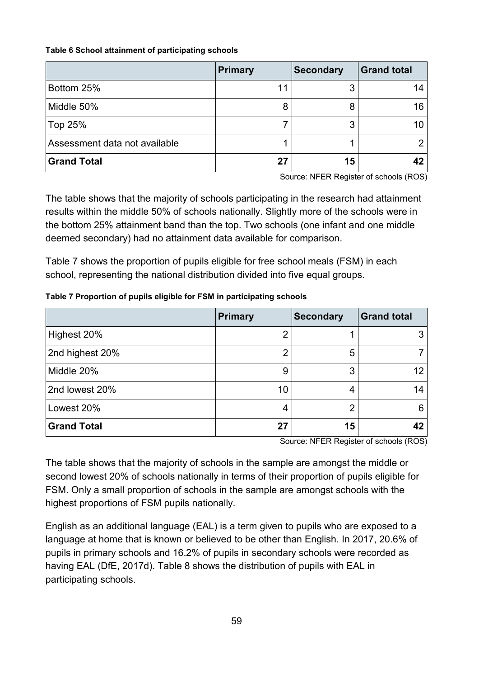#### <span id="page-58-0"></span>**Table 6 School attainment of participating schools**

|                               | <b>Primary</b> | <b>Secondary</b> | <b>Grand total</b> |
|-------------------------------|----------------|------------------|--------------------|
| Bottom 25%                    | 11             | 3                | 14                 |
| Middle 50%                    | 8              | 8                | 16                 |
| Top 25%                       |                | 3                |                    |
| Assessment data not available |                |                  |                    |
| <b>Grand Total</b>            | 27             | 15               |                    |

Source: NFER Register of schools (ROS)

The table shows that the majority of schools participating in the research had attainment results within the middle 50% of schools nationally. Slightly more of the schools were in the bottom 25% attainment band than the top. Two schools (one infant and one middle deemed secondary) had no attainment data available for comparison.

Table 7 shows the proportion of pupils eligible for free school meals (FSM) in each school, representing the national distribution divided into five equal groups.

|                    | <b>Primary</b> | <b>Secondary</b> | <b>Grand total</b> |
|--------------------|----------------|------------------|--------------------|
| Highest 20%        | ⌒              |                  |                    |
| 2nd highest 20%    | 2              | 5                |                    |
| Middle 20%         | 9              | 3                |                    |
| 2nd lowest 20%     | 10             | 4                | 14                 |
| Lowest 20%         | 4              | 2                | 6                  |
| <b>Grand Total</b> | 27             | 15               |                    |

#### <span id="page-58-1"></span>**Table 7 Proportion of pupils eligible for FSM in participating schools**

Source: NFER Register of schools (ROS)

The table shows that the majority of schools in the sample are amongst the middle or second lowest 20% of schools nationally in terms of their proportion of pupils eligible for FSM. Only a small proportion of schools in the sample are amongst schools with the highest proportions of FSM pupils nationally.

English as an additional language (EAL) is a term given to pupils who are exposed to a language at home that is known or believed to be other than English. In 2017, 20.6% of pupils in primary schools and 16.2% of pupils in secondary schools were recorded as having EAL (DfE, 2017d). Table 8 shows the distribution of pupils with EAL in participating schools.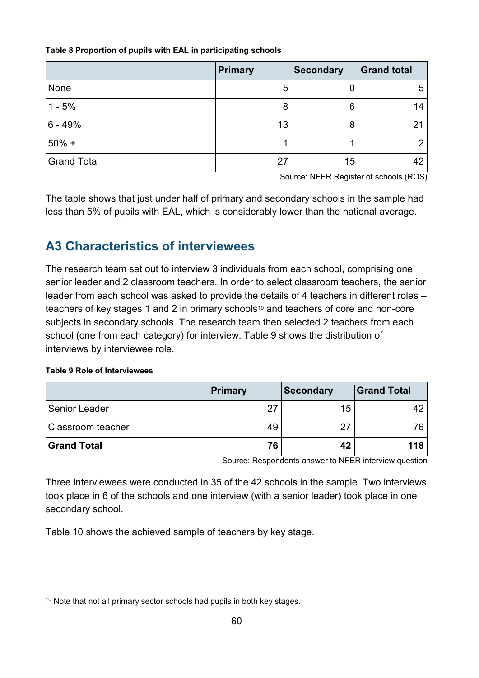#### <span id="page-59-1"></span>**Table 8 Proportion of pupils with EAL in participating schools**

|                    | <b>Primary</b> | <b>Secondary</b> | Grand total    |
|--------------------|----------------|------------------|----------------|
| None               | 5              | U                | 5              |
| $1 - 5%$           | 8              | 6                | 14             |
| $ 6 - 49%$         | 13             | 8                | 21             |
| $50% +$            |                |                  | $\overline{2}$ |
| <b>Grand Total</b> | 27             | 15               | 42             |

Source: NFER Register of schools (ROS)

The table shows that just under half of primary and secondary schools in the sample had less than 5% of pupils with EAL, which is considerably lower than the national average.

## <span id="page-59-0"></span>**A3 Characteristics of interviewees**

The research team set out to interview 3 individuals from each school, comprising one senior leader and 2 classroom teachers. In order to select classroom teachers, the senior leader from each school was asked to provide the details of 4 teachers in different roles – teachers of key stages 1 and 2 in primary schools<sup>[10](#page-59-3)</sup> and teachers of core and non-core subjects in secondary schools. The research team then selected 2 teachers from each school (one from each category) for interview. Table 9 shows the distribution of interviews by interviewee role.

#### <span id="page-59-2"></span>**Table 9 Role of Interviewees**

-

|                          | <b>Primary</b> | <b>Secondary</b> | <b>Grand Total</b> |
|--------------------------|----------------|------------------|--------------------|
| Senior Leader            | 27             | 15               |                    |
| <b>Classroom teacher</b> | 49             |                  | 76                 |
| <b>Grand Total</b>       | 76             | 42               | 118                |

Source: Respondents answer to NFER interview question

Three interviewees were conducted in 35 of the 42 schools in the sample. Two interviews took place in 6 of the schools and one interview (with a senior leader) took place in one secondary school.

Table 10 shows the achieved sample of teachers by key stage.

<span id="page-59-3"></span><sup>&</sup>lt;sup>10</sup> Note that not all primary sector schools had pupils in both key stages.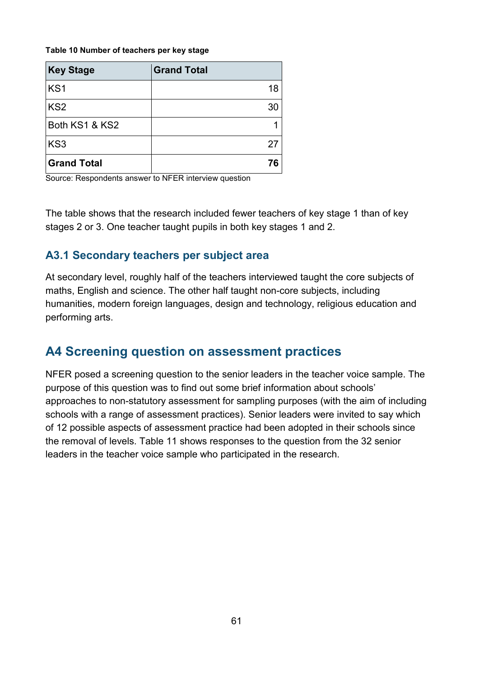#### <span id="page-60-2"></span>**Table 10 Number of teachers per key stage**

| <b>Key Stage</b>   | <b>Grand Total</b> |
|--------------------|--------------------|
| KS <sub>1</sub>    | 18                 |
| KS <sub>2</sub>    | 30                 |
| Both KS1 & KS2     |                    |
| KS <sub>3</sub>    | 27                 |
| <b>Grand Total</b> |                    |

Source: Respondents answer to NFER interview question

The table shows that the research included fewer teachers of key stage 1 than of key stages 2 or 3. One teacher taught pupils in both key stages 1 and 2.

#### <span id="page-60-0"></span>**A3.1 Secondary teachers per subject area**

At secondary level, roughly half of the teachers interviewed taught the core subjects of maths, English and science. The other half taught non-core subjects, including humanities, modern foreign languages, design and technology, religious education and performing arts.

#### <span id="page-60-1"></span>**A4 Screening question on assessment practices**

NFER posed a screening question to the senior leaders in the teacher voice sample. The purpose of this question was to find out some brief information about schools' approaches to non-statutory assessment for sampling purposes (with the aim of including schools with a range of assessment practices). Senior leaders were invited to say which of 12 possible aspects of assessment practice had been adopted in their schools since the removal of levels. Table 11 shows responses to the question from the 32 senior leaders in the teacher voice sample who participated in the research.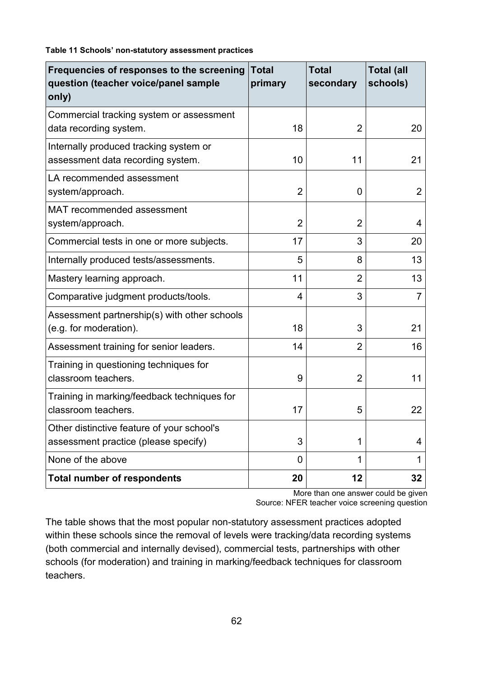<span id="page-61-0"></span>**Table 11 Schools' non-statutory assessment practices**

| Frequencies of responses to the screening<br>question (teacher voice/panel sample<br>only) | <b>Total</b><br>primary | <b>Total</b><br>secondary | <b>Total (all</b><br>schools) |
|--------------------------------------------------------------------------------------------|-------------------------|---------------------------|-------------------------------|
| Commercial tracking system or assessment<br>data recording system.                         | 18                      | 2                         | 20                            |
| Internally produced tracking system or<br>assessment data recording system.                | 10                      | 11                        | 21                            |
| LA recommended assessment<br>system/approach.                                              | $\overline{2}$          | 0                         | $\overline{2}$                |
| <b>MAT recommended assessment</b><br>system/approach.                                      | $\overline{2}$          | $\overline{2}$            | 4                             |
| Commercial tests in one or more subjects.                                                  | 17                      | 3                         | 20                            |
| Internally produced tests/assessments.                                                     | 5                       | 8                         | 13                            |
| Mastery learning approach.                                                                 | 11                      | $\overline{2}$            | 13                            |
| Comparative judgment products/tools.                                                       | 4                       | 3                         | $\overline{7}$                |
| Assessment partnership(s) with other schools<br>(e.g. for moderation).                     | 18                      | 3                         | 21                            |
| Assessment training for senior leaders.                                                    | 14                      | $\overline{2}$            | 16                            |
| Training in questioning techniques for<br>classroom teachers.                              | 9                       | $\overline{2}$            | 11                            |
| Training in marking/feedback techniques for<br>classroom teachers.                         | 17                      | 5                         | 22                            |
| Other distinctive feature of your school's<br>assessment practice (please specify)         | 3                       | 1                         | 4                             |
| None of the above                                                                          | 0                       | 1                         | 1                             |
| <b>Total number of respondents</b>                                                         | 20                      | 12                        | 32                            |

More than one answer could be given Source: NFER teacher voice screening question

The table shows that the most popular non-statutory assessment practices adopted within these schools since the removal of levels were tracking/data recording systems (both commercial and internally devised), commercial tests, partnerships with other schools (for moderation) and training in marking/feedback techniques for classroom teachers.